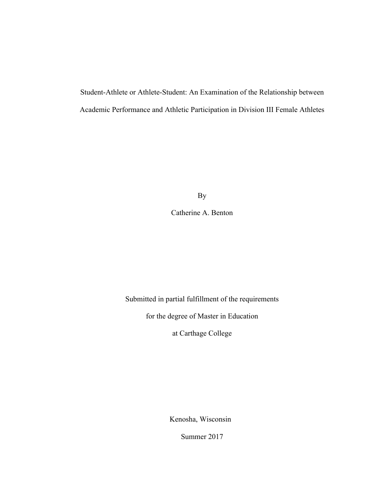Student-Athlete or Athlete-Student: An Examination of the Relationship between Academic Performance and Athletic Participation in Division III Female Athletes

By

Catherine A. Benton

Submitted in partial fulfillment of the requirements

for the degree of Master in Education

at Carthage College

Kenosha, Wisconsin

Summer 2017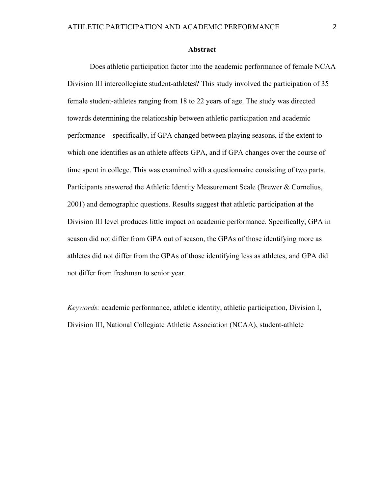#### **Abstract**

Does athletic participation factor into the academic performance of female NCAA Division III intercollegiate student-athletes? This study involved the participation of 35 female student-athletes ranging from 18 to 22 years of age. The study was directed towards determining the relationship between athletic participation and academic performance—specifically, if GPA changed between playing seasons, if the extent to which one identifies as an athlete affects GPA, and if GPA changes over the course of time spent in college. This was examined with a questionnaire consisting of two parts. Participants answered the Athletic Identity Measurement Scale (Brewer & Cornelius, 2001) and demographic questions. Results suggest that athletic participation at the Division III level produces little impact on academic performance. Specifically, GPA in season did not differ from GPA out of season, the GPAs of those identifying more as athletes did not differ from the GPAs of those identifying less as athletes, and GPA did not differ from freshman to senior year.

*Keywords:* academic performance, athletic identity, athletic participation, Division I, Division III, National Collegiate Athletic Association (NCAA), student-athlete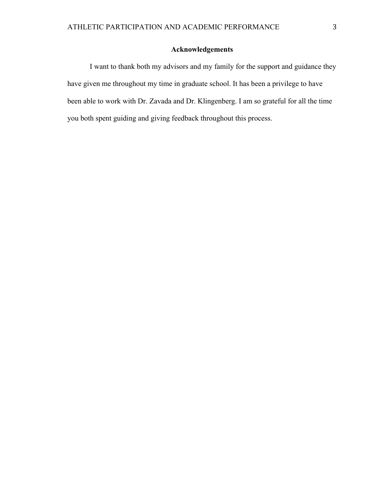## **Acknowledgements**

I want to thank both my advisors and my family for the support and guidance they have given me throughout my time in graduate school. It has been a privilege to have been able to work with Dr. Zavada and Dr. Klingenberg. I am so grateful for all the time you both spent guiding and giving feedback throughout this process.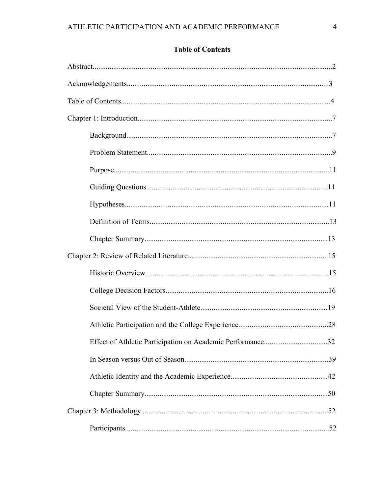# **Table of Contents**

| .32 |
|-----|
|     |
|     |
|     |
|     |
|     |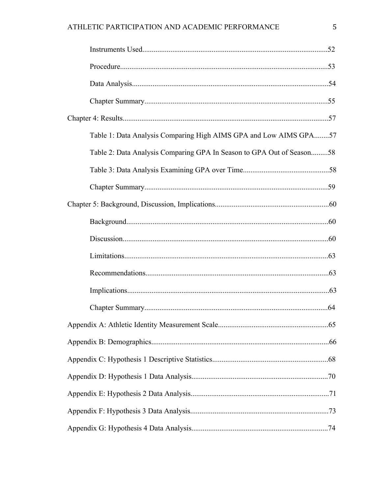| Table 1: Data Analysis Comparing High AIMS GPA and Low AIMS GPA57     |
|-----------------------------------------------------------------------|
| Table 2: Data Analysis Comparing GPA In Season to GPA Out of Season58 |
|                                                                       |
|                                                                       |
|                                                                       |
|                                                                       |
|                                                                       |
|                                                                       |
|                                                                       |
|                                                                       |
|                                                                       |
|                                                                       |
|                                                                       |
|                                                                       |
|                                                                       |
|                                                                       |
|                                                                       |
|                                                                       |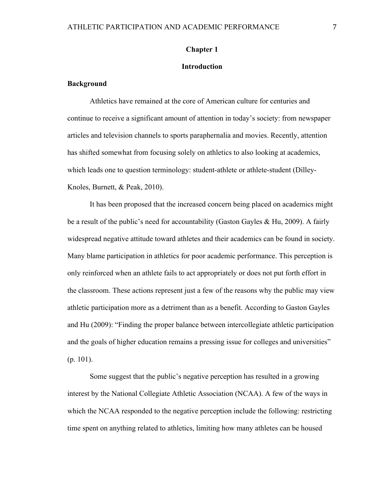#### **Chapter 1**

## **Introduction**

#### **Background**

Athletics have remained at the core of American culture for centuries and continue to receive a significant amount of attention in today's society: from newspaper articles and television channels to sports paraphernalia and movies. Recently, attention has shifted somewhat from focusing solely on athletics to also looking at academics, which leads one to question terminology: student-athlete or athlete-student (Dilley-Knoles, Burnett, & Peak, 2010).

It has been proposed that the increased concern being placed on academics might be a result of the public's need for accountability (Gaston Gayles & Hu, 2009). A fairly widespread negative attitude toward athletes and their academics can be found in society. Many blame participation in athletics for poor academic performance. This perception is only reinforced when an athlete fails to act appropriately or does not put forth effort in the classroom. These actions represent just a few of the reasons why the public may view athletic participation more as a detriment than as a benefit. According to Gaston Gayles and Hu (2009): "Finding the proper balance between intercollegiate athletic participation and the goals of higher education remains a pressing issue for colleges and universities" (p. 101).

Some suggest that the public's negative perception has resulted in a growing interest by the National Collegiate Athletic Association (NCAA). A few of the ways in which the NCAA responded to the negative perception include the following: restricting time spent on anything related to athletics, limiting how many athletes can be housed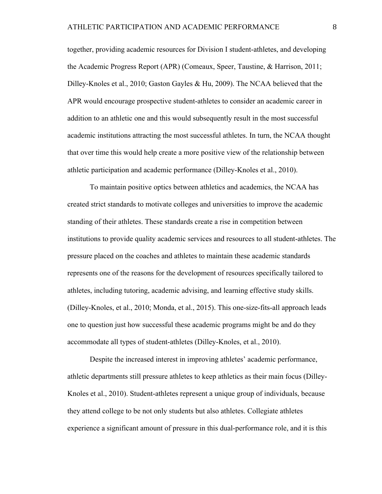together, providing academic resources for Division I student-athletes, and developing the Academic Progress Report (APR) (Comeaux, Speer, Taustine, & Harrison, 2011; Dilley-Knoles et al., 2010; Gaston Gayles & Hu, 2009). The NCAA believed that the APR would encourage prospective student-athletes to consider an academic career in addition to an athletic one and this would subsequently result in the most successful academic institutions attracting the most successful athletes. In turn, the NCAA thought that over time this would help create a more positive view of the relationship between athletic participation and academic performance (Dilley-Knoles et al., 2010).

To maintain positive optics between athletics and academics, the NCAA has created strict standards to motivate colleges and universities to improve the academic standing of their athletes. These standards create a rise in competition between institutions to provide quality academic services and resources to all student-athletes. The pressure placed on the coaches and athletes to maintain these academic standards represents one of the reasons for the development of resources specifically tailored to athletes, including tutoring, academic advising, and learning effective study skills. (Dilley-Knoles, et al., 2010; Monda, et al., 2015). This one-size-fits-all approach leads one to question just how successful these academic programs might be and do they accommodate all types of student-athletes (Dilley-Knoles, et al., 2010).

Despite the increased interest in improving athletes' academic performance, athletic departments still pressure athletes to keep athletics as their main focus (Dilley-Knoles et al., 2010). Student-athletes represent a unique group of individuals, because they attend college to be not only students but also athletes. Collegiate athletes experience a significant amount of pressure in this dual-performance role, and it is this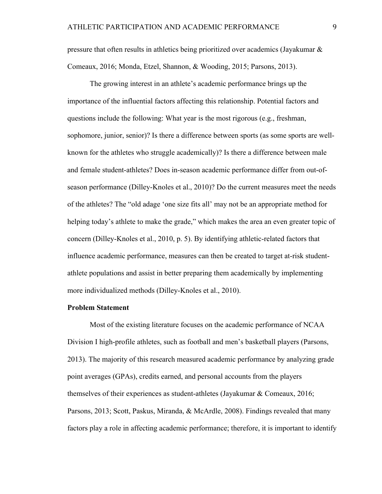pressure that often results in athletics being prioritized over academics (Jayakumar  $\&$ Comeaux, 2016; Monda, Etzel, Shannon, & Wooding, 2015; Parsons, 2013).

The growing interest in an athlete's academic performance brings up the importance of the influential factors affecting this relationship. Potential factors and questions include the following: What year is the most rigorous (e.g., freshman, sophomore, junior, senior)? Is there a difference between sports (as some sports are wellknown for the athletes who struggle academically)? Is there a difference between male and female student-athletes? Does in-season academic performance differ from out-ofseason performance (Dilley-Knoles et al., 2010)? Do the current measures meet the needs of the athletes? The "old adage 'one size fits all' may not be an appropriate method for helping today's athlete to make the grade," which makes the area an even greater topic of concern (Dilley-Knoles et al., 2010, p. 5). By identifying athletic-related factors that influence academic performance, measures can then be created to target at-risk studentathlete populations and assist in better preparing them academically by implementing more individualized methods (Dilley-Knoles et al., 2010).

#### **Problem Statement**

Most of the existing literature focuses on the academic performance of NCAA Division I high-profile athletes, such as football and men's basketball players (Parsons, 2013). The majority of this research measured academic performance by analyzing grade point averages (GPAs), credits earned, and personal accounts from the players themselves of their experiences as student-athletes (Jayakumar & Comeaux, 2016; Parsons, 2013; Scott, Paskus, Miranda, & McArdle, 2008). Findings revealed that many factors play a role in affecting academic performance; therefore, it is important to identify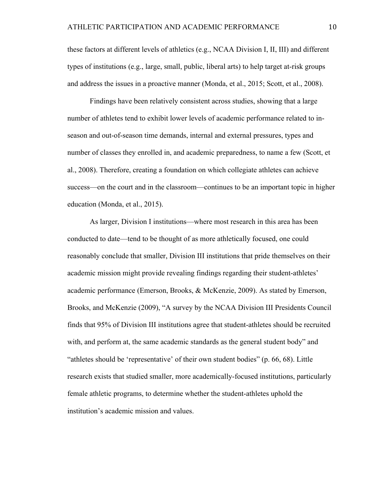these factors at different levels of athletics (e.g., NCAA Division I, II, III) and different types of institutions (e.g., large, small, public, liberal arts) to help target at-risk groups and address the issues in a proactive manner (Monda, et al., 2015; Scott, et al., 2008).

Findings have been relatively consistent across studies, showing that a large number of athletes tend to exhibit lower levels of academic performance related to inseason and out-of-season time demands, internal and external pressures, types and number of classes they enrolled in, and academic preparedness, to name a few (Scott, et al., 2008). Therefore, creating a foundation on which collegiate athletes can achieve success—on the court and in the classroom—continues to be an important topic in higher education (Monda, et al., 2015).

As larger, Division I institutions—where most research in this area has been conducted to date—tend to be thought of as more athletically focused, one could reasonably conclude that smaller, Division III institutions that pride themselves on their academic mission might provide revealing findings regarding their student-athletes' academic performance (Emerson, Brooks, & McKenzie, 2009). As stated by Emerson, Brooks, and McKenzie (2009), "A survey by the NCAA Division III Presidents Council finds that 95% of Division III institutions agree that student-athletes should be recruited with, and perform at, the same academic standards as the general student body" and "athletes should be 'representative' of their own student bodies" (p. 66, 68). Little research exists that studied smaller, more academically-focused institutions, particularly female athletic programs, to determine whether the student-athletes uphold the institution's academic mission and values.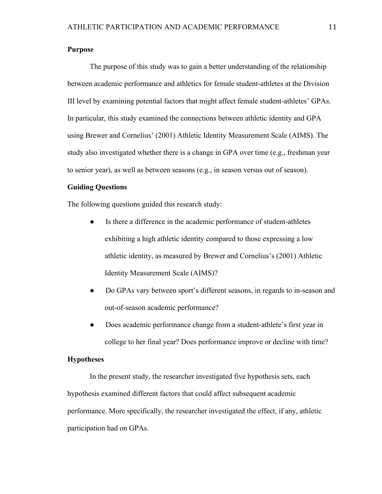## **Purpose**

The purpose of this study was to gain a better understanding of the relationship between academic performance and athletics for female student-athletes at the Division III level by examining potential factors that might affect female student-athletes' GPAs. In particular, this study examined the connections between athletic identity and GPA using Brewer and Cornelius' (2001) Athletic Identity Measurement Scale (AIMS). The study also investigated whether there is a change in GPA over time (e.g., freshman year to senior year), as well as between seasons (e.g., in season versus out of season).

## **Guiding Questions**

The following questions guided this research study:

- Is there a difference in the academic performance of student-athletes exhibiting a high athletic identity compared to those expressing a low athletic identity, as measured by Brewer and Cornelius's (2001) Athletic Identity Measurement Scale (AIMS)?
- Do GPAs vary between sport's different seasons, in regards to in-season and out-of-season academic performance?
- Does academic performance change from a student-athlete's first year in college to her final year? Does performance improve or decline with time?

#### **Hypotheses**

In the present study, the researcher investigated five hypothesis sets, each hypothesis examined different factors that could affect subsequent academic performance. More specifically, the researcher investigated the effect, if any, athletic participation had on GPAs.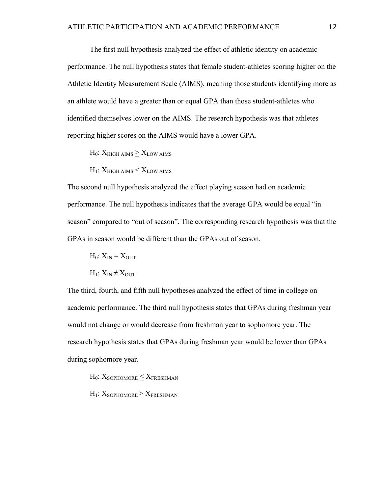The first null hypothesis analyzed the effect of athletic identity on academic performance. The null hypothesis states that female student-athletes scoring higher on the Athletic Identity Measurement Scale (AIMS), meaning those students identifying more as an athlete would have a greater than or equal GPA than those student-athletes who identified themselves lower on the AIMS. The research hypothesis was that athletes reporting higher scores on the AIMS would have a lower GPA.

 $H_0$ :  $X_{\text{HIGH AIMS}} > X_{\text{LOW AIMS}}$ 

 $H_1$ :  $X_{HIGH\,AIMS} < X_{LOW\,AIMS}$ 

The second null hypothesis analyzed the effect playing season had on academic performance. The null hypothesis indicates that the average GPA would be equal "in season" compared to "out of season". The corresponding research hypothesis was that the GPAs in season would be different than the GPAs out of season.

 $H_0$ :  $X_{IN} = X_{OUT}$ 

 $H_1: X_{IN} \neq X_{OUT}$ 

The third, fourth, and fifth null hypotheses analyzed the effect of time in college on academic performance. The third null hypothesis states that GPAs during freshman year would not change or would decrease from freshman year to sophomore year. The research hypothesis states that GPAs during freshman year would be lower than GPAs during sophomore year.

 $H_0$ :  $X_{\text{SOPHOMORE}} \leq X_{\text{FRESHMAN}}$ 

 $H_1$ :  $X_{\text{SOPHOMORE}} > X_{\text{FRESHMAN}}$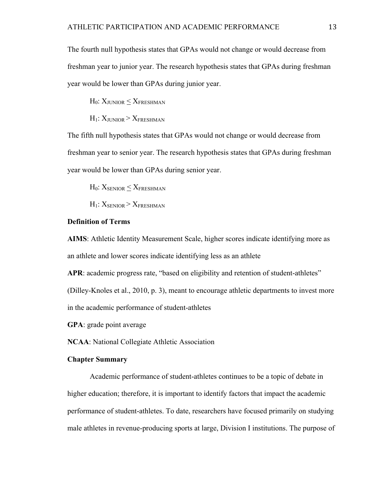The fourth null hypothesis states that GPAs would not change or would decrease from freshman year to junior year. The research hypothesis states that GPAs during freshman year would be lower than GPAs during junior year.

 $H_0$ :  $X_{JUNIOR} < X_{FRESHMAN}$ 

 $H_1$ :  $X_{\text{HINIOR}} > X_{\text{FRESHMAN}}$ 

The fifth null hypothesis states that GPAs would not change or would decrease from freshman year to senior year. The research hypothesis states that GPAs during freshman year would be lower than GPAs during senior year.

 $H_0$ :  $X_{SENIOR} < X_{FRESHMAN}$ 

 $H_1$ :  $X_{\text{SENOR}}$  >  $X_{\text{FRESHMAN}}$ 

## **Definition of Terms**

**AIMS**: Athletic Identity Measurement Scale, higher scores indicate identifying more as an athlete and lower scores indicate identifying less as an athlete

APR: academic progress rate, "based on eligibility and retention of student-athletes"

(Dilley-Knoles et al., 2010, p. 3), meant to encourage athletic departments to invest more in the academic performance of student-athletes

**GPA**: grade point average

**NCAA**: National Collegiate Athletic Association

## **Chapter Summary**

Academic performance of student-athletes continues to be a topic of debate in higher education; therefore, it is important to identify factors that impact the academic performance of student-athletes. To date, researchers have focused primarily on studying male athletes in revenue-producing sports at large, Division I institutions. The purpose of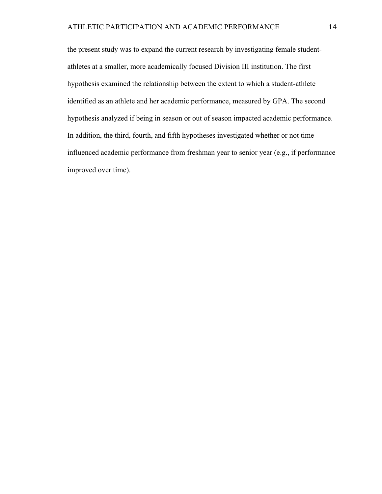the present study was to expand the current research by investigating female studentathletes at a smaller, more academically focused Division III institution. The first hypothesis examined the relationship between the extent to which a student-athlete identified as an athlete and her academic performance, measured by GPA. The second hypothesis analyzed if being in season or out of season impacted academic performance. In addition, the third, fourth, and fifth hypotheses investigated whether or not time influenced academic performance from freshman year to senior year (e.g., if performance improved over time).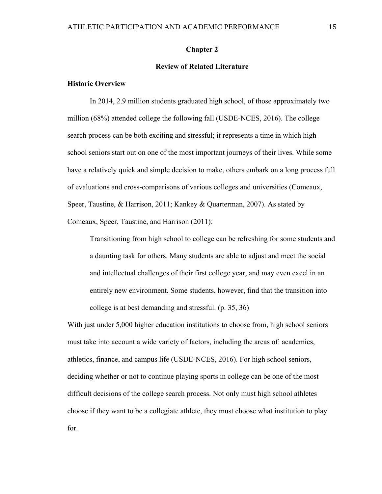#### **Chapter 2**

## **Review of Related Literature**

## **Historic Overview**

In 2014, 2.9 million students graduated high school, of those approximately two million (68%) attended college the following fall (USDE-NCES, 2016). The college search process can be both exciting and stressful; it represents a time in which high school seniors start out on one of the most important journeys of their lives. While some have a relatively quick and simple decision to make, others embark on a long process full of evaluations and cross-comparisons of various colleges and universities (Comeaux, Speer, Taustine, & Harrison, 2011; Kankey & Quarterman, 2007). As stated by Comeaux, Speer, Taustine, and Harrison (2011):

Transitioning from high school to college can be refreshing for some students and a daunting task for others. Many students are able to adjust and meet the social and intellectual challenges of their first college year, and may even excel in an entirely new environment. Some students, however, find that the transition into college is at best demanding and stressful. (p. 35, 36)

With just under 5,000 higher education institutions to choose from, high school seniors must take into account a wide variety of factors, including the areas of: academics, athletics, finance, and campus life (USDE-NCES, 2016). For high school seniors, deciding whether or not to continue playing sports in college can be one of the most difficult decisions of the college search process. Not only must high school athletes choose if they want to be a collegiate athlete, they must choose what institution to play for.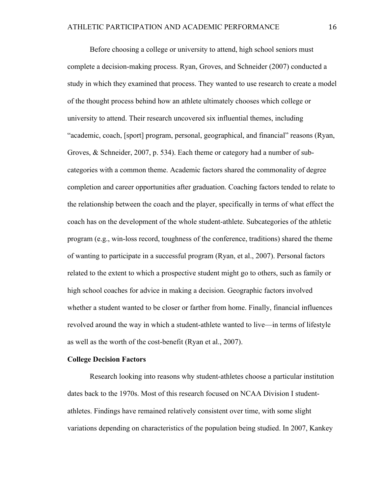Before choosing a college or university to attend, high school seniors must complete a decision-making process. Ryan, Groves, and Schneider (2007) conducted a study in which they examined that process. They wanted to use research to create a model of the thought process behind how an athlete ultimately chooses which college or university to attend. Their research uncovered six influential themes, including "academic, coach, [sport] program, personal, geographical, and financial" reasons (Ryan, Groves, & Schneider, 2007, p. 534). Each theme or category had a number of subcategories with a common theme. Academic factors shared the commonality of degree completion and career opportunities after graduation. Coaching factors tended to relate to the relationship between the coach and the player, specifically in terms of what effect the coach has on the development of the whole student-athlete. Subcategories of the athletic program (e.g., win-loss record, toughness of the conference, traditions) shared the theme of wanting to participate in a successful program (Ryan, et al., 2007). Personal factors related to the extent to which a prospective student might go to others, such as family or high school coaches for advice in making a decision. Geographic factors involved whether a student wanted to be closer or farther from home. Finally, financial influences revolved around the way in which a student-athlete wanted to live—in terms of lifestyle as well as the worth of the cost-benefit (Ryan et al., 2007).

#### **College Decision Factors**

Research looking into reasons why student-athletes choose a particular institution dates back to the 1970s. Most of this research focused on NCAA Division I studentathletes. Findings have remained relatively consistent over time, with some slight variations depending on characteristics of the population being studied. In 2007, Kankey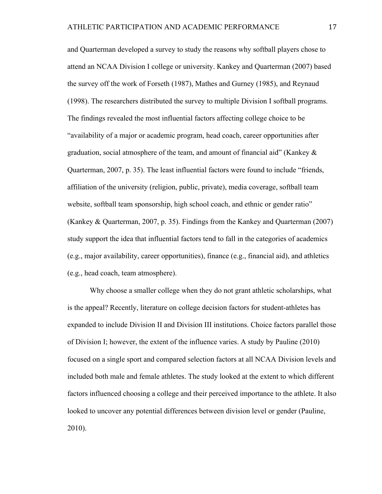and Quarterman developed a survey to study the reasons why softball players chose to attend an NCAA Division I college or university. Kankey and Quarterman (2007) based the survey off the work of Forseth (1987), Mathes and Gurney (1985), and Reynaud (1998). The researchers distributed the survey to multiple Division I softball programs. The findings revealed the most influential factors affecting college choice to be "availability of a major or academic program, head coach, career opportunities after graduation, social atmosphere of the team, and amount of financial aid" (Kankey  $\&$ Quarterman, 2007, p. 35). The least influential factors were found to include "friends, affiliation of the university (religion, public, private), media coverage, softball team website, softball team sponsorship, high school coach, and ethnic or gender ratio" (Kankey & Quarterman, 2007, p. 35). Findings from the Kankey and Quarterman (2007) study support the idea that influential factors tend to fall in the categories of academics (e.g., major availability, career opportunities), finance (e.g., financial aid), and athletics (e.g., head coach, team atmosphere).

Why choose a smaller college when they do not grant athletic scholarships, what is the appeal? Recently, literature on college decision factors for student-athletes has expanded to include Division II and Division III institutions. Choice factors parallel those of Division I; however, the extent of the influence varies. A study by Pauline (2010) focused on a single sport and compared selection factors at all NCAA Division levels and included both male and female athletes. The study looked at the extent to which different factors influenced choosing a college and their perceived importance to the athlete. It also looked to uncover any potential differences between division level or gender (Pauline, 2010).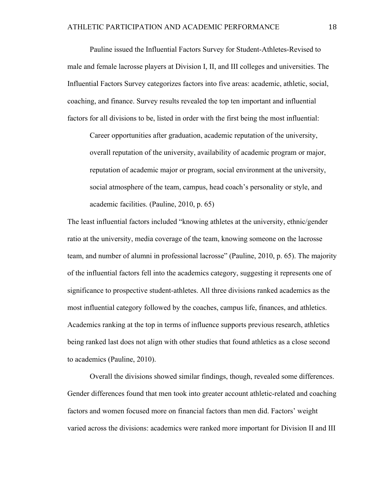Pauline issued the Influential Factors Survey for Student-Athletes-Revised to male and female lacrosse players at Division I, II, and III colleges and universities. The Influential Factors Survey categorizes factors into five areas: academic, athletic, social, coaching, and finance. Survey results revealed the top ten important and influential factors for all divisions to be, listed in order with the first being the most influential:

Career opportunities after graduation, academic reputation of the university, overall reputation of the university, availability of academic program or major, reputation of academic major or program, social environment at the university, social atmosphere of the team, campus, head coach's personality or style, and academic facilities. (Pauline, 2010, p. 65)

The least influential factors included "knowing athletes at the university, ethnic/gender ratio at the university, media coverage of the team, knowing someone on the lacrosse team, and number of alumni in professional lacrosse" (Pauline, 2010, p. 65). The majority of the influential factors fell into the academics category, suggesting it represents one of significance to prospective student-athletes. All three divisions ranked academics as the most influential category followed by the coaches, campus life, finances, and athletics. Academics ranking at the top in terms of influence supports previous research, athletics being ranked last does not align with other studies that found athletics as a close second to academics (Pauline, 2010).

Overall the divisions showed similar findings, though, revealed some differences. Gender differences found that men took into greater account athletic-related and coaching factors and women focused more on financial factors than men did. Factors' weight varied across the divisions: academics were ranked more important for Division II and III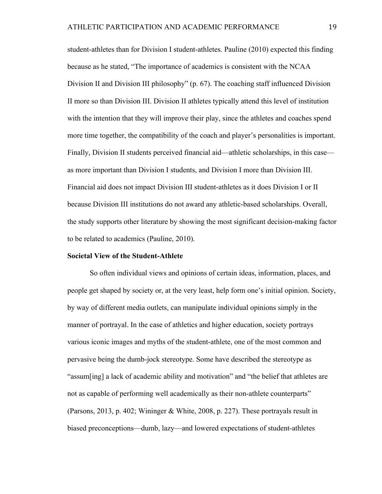student-athletes than for Division I student-athletes. Pauline (2010) expected this finding because as he stated, "The importance of academics is consistent with the NCAA Division II and Division III philosophy" (p. 67). The coaching staff influenced Division II more so than Division III. Division II athletes typically attend this level of institution with the intention that they will improve their play, since the athletes and coaches spend more time together, the compatibility of the coach and player's personalities is important. Finally, Division II students perceived financial aid—athletic scholarships, in this case as more important than Division I students, and Division I more than Division III. Financial aid does not impact Division III student-athletes as it does Division I or II because Division III institutions do not award any athletic-based scholarships. Overall, the study supports other literature by showing the most significant decision-making factor to be related to academics (Pauline, 2010).

#### **Societal View of the Student-Athlete**

So often individual views and opinions of certain ideas, information, places, and people get shaped by society or, at the very least, help form one's initial opinion. Society, by way of different media outlets, can manipulate individual opinions simply in the manner of portrayal. In the case of athletics and higher education, society portrays various iconic images and myths of the student-athlete, one of the most common and pervasive being the dumb-jock stereotype. Some have described the stereotype as "assum[ing] a lack of academic ability and motivation" and "the belief that athletes are not as capable of performing well academically as their non-athlete counterparts" (Parsons, 2013, p. 402; Wininger & White, 2008, p. 227). These portrayals result in biased preconceptions—dumb, lazy—and lowered expectations of student-athletes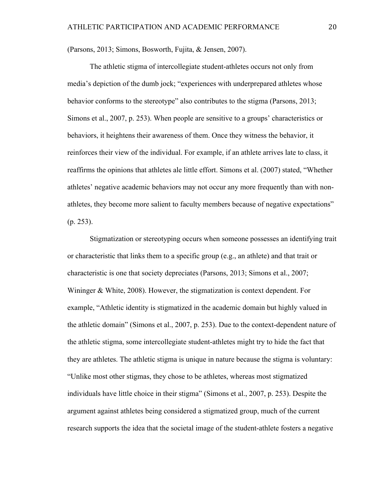(Parsons, 2013; Simons, Bosworth, Fujita, & Jensen, 2007).

The athletic stigma of intercollegiate student-athletes occurs not only from media's depiction of the dumb jock; "experiences with underprepared athletes whose behavior conforms to the stereotype" also contributes to the stigma (Parsons, 2013; Simons et al., 2007, p. 253). When people are sensitive to a groups' characteristics or behaviors, it heightens their awareness of them. Once they witness the behavior, it reinforces their view of the individual. For example, if an athlete arrives late to class, it reaffirms the opinions that athletes ale little effort. Simons et al. (2007) stated, "Whether athletes' negative academic behaviors may not occur any more frequently than with nonathletes, they become more salient to faculty members because of negative expectations" (p. 253).

Stigmatization or stereotyping occurs when someone possesses an identifying trait or characteristic that links them to a specific group (e.g., an athlete) and that trait or characteristic is one that society depreciates (Parsons, 2013; Simons et al., 2007; Wininger & White, 2008). However, the stigmatization is context dependent. For example, "Athletic identity is stigmatized in the academic domain but highly valued in the athletic domain" (Simons et al., 2007, p. 253). Due to the context-dependent nature of the athletic stigma, some intercollegiate student-athletes might try to hide the fact that they are athletes. The athletic stigma is unique in nature because the stigma is voluntary: "Unlike most other stigmas, they chose to be athletes, whereas most stigmatized individuals have little choice in their stigma" (Simons et al., 2007, p. 253). Despite the argument against athletes being considered a stigmatized group, much of the current research supports the idea that the societal image of the student-athlete fosters a negative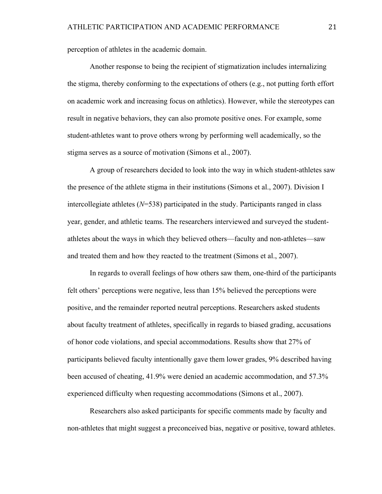perception of athletes in the academic domain.

Another response to being the recipient of stigmatization includes internalizing the stigma, thereby conforming to the expectations of others (e.g., not putting forth effort on academic work and increasing focus on athletics). However, while the stereotypes can result in negative behaviors, they can also promote positive ones. For example, some student-athletes want to prove others wrong by performing well academically, so the stigma serves as a source of motivation (Simons et al., 2007).

A group of researchers decided to look into the way in which student-athletes saw the presence of the athlete stigma in their institutions (Simons et al., 2007). Division I intercollegiate athletes (*N*=538) participated in the study. Participants ranged in class year, gender, and athletic teams. The researchers interviewed and surveyed the studentathletes about the ways in which they believed others—faculty and non-athletes—saw and treated them and how they reacted to the treatment (Simons et al., 2007).

In regards to overall feelings of how others saw them, one-third of the participants felt others' perceptions were negative, less than 15% believed the perceptions were positive, and the remainder reported neutral perceptions. Researchers asked students about faculty treatment of athletes, specifically in regards to biased grading, accusations of honor code violations, and special accommodations. Results show that 27% of participants believed faculty intentionally gave them lower grades, 9% described having been accused of cheating, 41.9% were denied an academic accommodation, and 57.3% experienced difficulty when requesting accommodations (Simons et al., 2007).

Researchers also asked participants for specific comments made by faculty and non-athletes that might suggest a preconceived bias, negative or positive, toward athletes.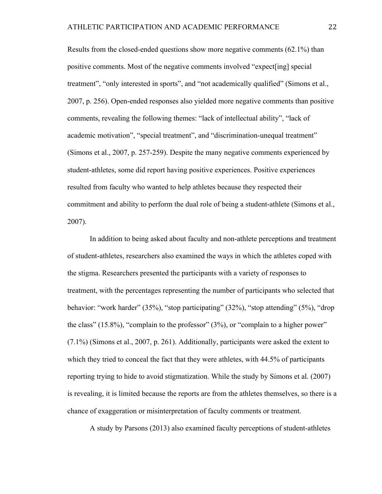Results from the closed-ended questions show more negative comments (62.1%) than positive comments. Most of the negative comments involved "expect[ing] special treatment", "only interested in sports", and "not academically qualified" (Simons et al., 2007, p. 256). Open-ended responses also yielded more negative comments than positive comments, revealing the following themes: "lack of intellectual ability", "lack of academic motivation", "special treatment", and "discrimination-unequal treatment" (Simons et al., 2007, p. 257-259). Despite the many negative comments experienced by student-athletes, some did report having positive experiences. Positive experiences resulted from faculty who wanted to help athletes because they respected their commitment and ability to perform the dual role of being a student-athlete (Simons et al., 2007).

In addition to being asked about faculty and non-athlete perceptions and treatment of student-athletes, researchers also examined the ways in which the athletes coped with the stigma. Researchers presented the participants with a variety of responses to treatment, with the percentages representing the number of participants who selected that behavior: "work harder" (35%), "stop participating" (32%), "stop attending" (5%), "drop the class" (15.8%), "complain to the professor" (3%), or "complain to a higher power" (7.1%) (Simons et al., 2007, p. 261). Additionally, participants were asked the extent to which they tried to conceal the fact that they were athletes, with 44.5% of participants reporting trying to hide to avoid stigmatization. While the study by Simons et al. (2007) is revealing, it is limited because the reports are from the athletes themselves, so there is a chance of exaggeration or misinterpretation of faculty comments or treatment.

A study by Parsons (2013) also examined faculty perceptions of student-athletes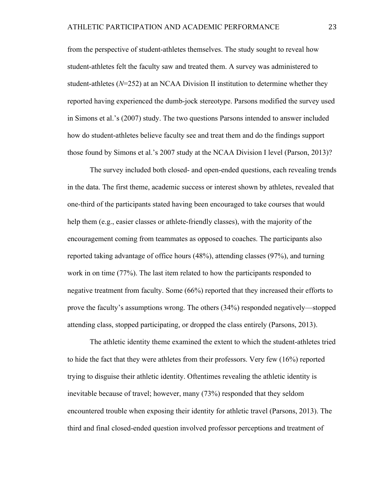from the perspective of student-athletes themselves. The study sought to reveal how student-athletes felt the faculty saw and treated them. A survey was administered to student-athletes (*N*=252) at an NCAA Division II institution to determine whether they reported having experienced the dumb-jock stereotype. Parsons modified the survey used in Simons et al.'s (2007) study. The two questions Parsons intended to answer included how do student-athletes believe faculty see and treat them and do the findings support those found by Simons et al.'s 2007 study at the NCAA Division I level (Parson, 2013)?

The survey included both closed- and open-ended questions, each revealing trends in the data. The first theme, academic success or interest shown by athletes, revealed that one-third of the participants stated having been encouraged to take courses that would help them (e.g., easier classes or athlete-friendly classes), with the majority of the encouragement coming from teammates as opposed to coaches. The participants also reported taking advantage of office hours (48%), attending classes (97%), and turning work in on time (77%). The last item related to how the participants responded to negative treatment from faculty. Some (66%) reported that they increased their efforts to prove the faculty's assumptions wrong. The others (34%) responded negatively—stopped attending class, stopped participating, or dropped the class entirely (Parsons, 2013).

The athletic identity theme examined the extent to which the student-athletes tried to hide the fact that they were athletes from their professors. Very few (16%) reported trying to disguise their athletic identity. Oftentimes revealing the athletic identity is inevitable because of travel; however, many (73%) responded that they seldom encountered trouble when exposing their identity for athletic travel (Parsons, 2013). The third and final closed-ended question involved professor perceptions and treatment of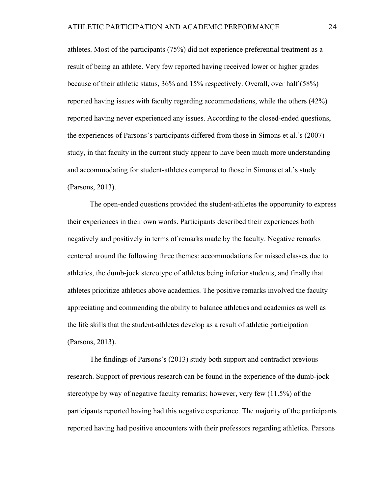athletes. Most of the participants (75%) did not experience preferential treatment as a result of being an athlete. Very few reported having received lower or higher grades because of their athletic status, 36% and 15% respectively. Overall, over half (58%) reported having issues with faculty regarding accommodations, while the others (42%) reported having never experienced any issues. According to the closed-ended questions, the experiences of Parsons's participants differed from those in Simons et al.'s (2007) study, in that faculty in the current study appear to have been much more understanding and accommodating for student-athletes compared to those in Simons et al.'s study (Parsons, 2013).

The open-ended questions provided the student-athletes the opportunity to express their experiences in their own words. Participants described their experiences both negatively and positively in terms of remarks made by the faculty. Negative remarks centered around the following three themes: accommodations for missed classes due to athletics, the dumb-jock stereotype of athletes being inferior students, and finally that athletes prioritize athletics above academics. The positive remarks involved the faculty appreciating and commending the ability to balance athletics and academics as well as the life skills that the student-athletes develop as a result of athletic participation (Parsons, 2013).

The findings of Parsons's (2013) study both support and contradict previous research. Support of previous research can be found in the experience of the dumb-jock stereotype by way of negative faculty remarks; however, very few (11.5%) of the participants reported having had this negative experience. The majority of the participants reported having had positive encounters with their professors regarding athletics. Parsons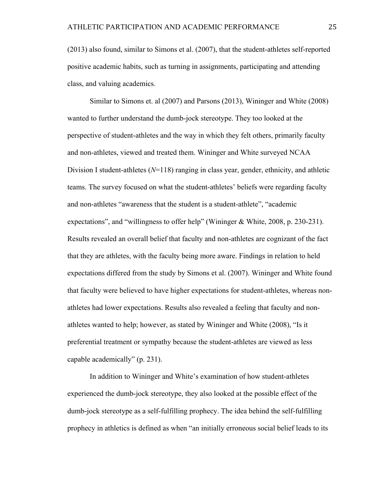(2013) also found, similar to Simons et al. (2007), that the student-athletes self-reported positive academic habits, such as turning in assignments, participating and attending class, and valuing academics.

Similar to Simons et. al (2007) and Parsons (2013), Wininger and White (2008) wanted to further understand the dumb-jock stereotype. They too looked at the perspective of student-athletes and the way in which they felt others, primarily faculty and non-athletes, viewed and treated them. Wininger and White surveyed NCAA Division I student-athletes (*N*=118) ranging in class year, gender, ethnicity, and athletic teams. The survey focused on what the student-athletes' beliefs were regarding faculty and non-athletes "awareness that the student is a student-athlete", "academic expectations", and "willingness to offer help" (Wininger & White, 2008, p. 230-231). Results revealed an overall belief that faculty and non-athletes are cognizant of the fact that they are athletes, with the faculty being more aware. Findings in relation to held expectations differed from the study by Simons et al. (2007). Wininger and White found that faculty were believed to have higher expectations for student-athletes, whereas nonathletes had lower expectations. Results also revealed a feeling that faculty and nonathletes wanted to help; however, as stated by Wininger and White (2008), "Is it preferential treatment or sympathy because the student-athletes are viewed as less capable academically" (p. 231).

In addition to Wininger and White's examination of how student-athletes experienced the dumb-jock stereotype, they also looked at the possible effect of the dumb-jock stereotype as a self-fulfilling prophecy. The idea behind the self-fulfilling prophecy in athletics is defined as when "an initially erroneous social belief leads to its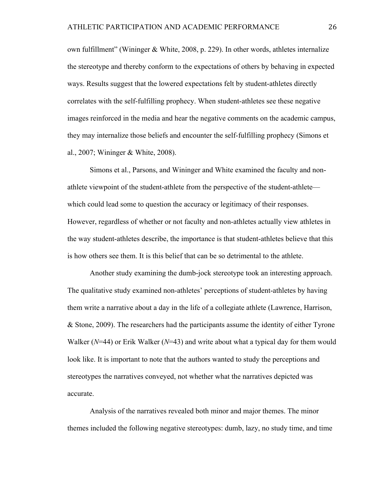own fulfillment" (Wininger & White, 2008, p. 229). In other words, athletes internalize the stereotype and thereby conform to the expectations of others by behaving in expected ways. Results suggest that the lowered expectations felt by student-athletes directly correlates with the self-fulfilling prophecy. When student-athletes see these negative images reinforced in the media and hear the negative comments on the academic campus, they may internalize those beliefs and encounter the self-fulfilling prophecy (Simons et al., 2007; Wininger & White, 2008).

Simons et al., Parsons, and Wininger and White examined the faculty and nonathlete viewpoint of the student-athlete from the perspective of the student-athlete which could lead some to question the accuracy or legitimacy of their responses. However, regardless of whether or not faculty and non-athletes actually view athletes in the way student-athletes describe, the importance is that student-athletes believe that this is how others see them. It is this belief that can be so detrimental to the athlete.

Another study examining the dumb-jock stereotype took an interesting approach. The qualitative study examined non-athletes' perceptions of student-athletes by having them write a narrative about a day in the life of a collegiate athlete (Lawrence, Harrison, & Stone, 2009). The researchers had the participants assume the identity of either Tyrone Walker (*N*=44) or Erik Walker (*N*=43) and write about what a typical day for them would look like. It is important to note that the authors wanted to study the perceptions and stereotypes the narratives conveyed, not whether what the narratives depicted was accurate.

Analysis of the narratives revealed both minor and major themes. The minor themes included the following negative stereotypes: dumb, lazy, no study time, and time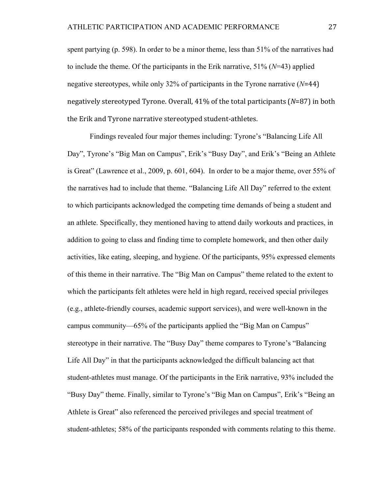spent partying (p. 598). In order to be a minor theme, less than 51% of the narratives had to include the theme. Of the participants in the Erik narrative, 51% (*N*=43) applied negative stereotypes, while only 32% of participants in the Tyrone narrative (*N*=44) negatively stereotyped Tyrone. Overall, 41% of the total participants (*N*=87) in both the Erik and Tyrone narrative stereotyped student-athletes.

Findings revealed four major themes including: Tyrone's "Balancing Life All Day", Tyrone's "Big Man on Campus", Erik's "Busy Day", and Erik's "Being an Athlete is Great" (Lawrence et al., 2009, p. 601, 604). In order to be a major theme, over 55% of the narratives had to include that theme. "Balancing Life All Day" referred to the extent to which participants acknowledged the competing time demands of being a student and an athlete. Specifically, they mentioned having to attend daily workouts and practices, in addition to going to class and finding time to complete homework, and then other daily activities, like eating, sleeping, and hygiene. Of the participants, 95% expressed elements of this theme in their narrative. The "Big Man on Campus" theme related to the extent to which the participants felt athletes were held in high regard, received special privileges (e.g., athlete-friendly courses, academic support services), and were well-known in the campus community—65% of the participants applied the "Big Man on Campus" stereotype in their narrative. The "Busy Day" theme compares to Tyrone's "Balancing Life All Day" in that the participants acknowledged the difficult balancing act that student-athletes must manage. Of the participants in the Erik narrative, 93% included the "Busy Day" theme. Finally, similar to Tyrone's "Big Man on Campus", Erik's "Being an Athlete is Great" also referenced the perceived privileges and special treatment of student-athletes; 58% of the participants responded with comments relating to this theme.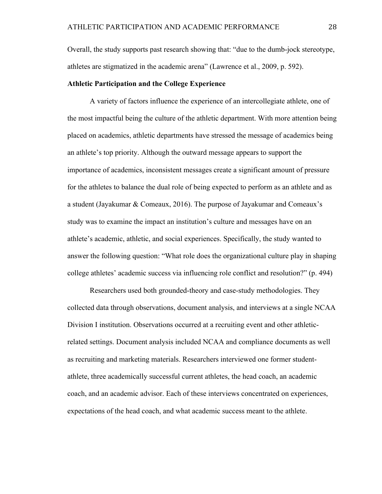Overall, the study supports past research showing that: "due to the dumb-jock stereotype, athletes are stigmatized in the academic arena" (Lawrence et al., 2009, p. 592).

## **Athletic Participation and the College Experience**

A variety of factors influence the experience of an intercollegiate athlete, one of the most impactful being the culture of the athletic department. With more attention being placed on academics, athletic departments have stressed the message of academics being an athlete's top priority. Although the outward message appears to support the importance of academics, inconsistent messages create a significant amount of pressure for the athletes to balance the dual role of being expected to perform as an athlete and as a student (Jayakumar & Comeaux, 2016). The purpose of Jayakumar and Comeaux's study was to examine the impact an institution's culture and messages have on an athlete's academic, athletic, and social experiences. Specifically, the study wanted to answer the following question: "What role does the organizational culture play in shaping college athletes' academic success via influencing role conflict and resolution?" (p. 494)

Researchers used both grounded-theory and case-study methodologies. They collected data through observations, document analysis, and interviews at a single NCAA Division I institution. Observations occurred at a recruiting event and other athleticrelated settings. Document analysis included NCAA and compliance documents as well as recruiting and marketing materials. Researchers interviewed one former studentathlete, three academically successful current athletes, the head coach, an academic coach, and an academic advisor. Each of these interviews concentrated on experiences, expectations of the head coach, and what academic success meant to the athlete.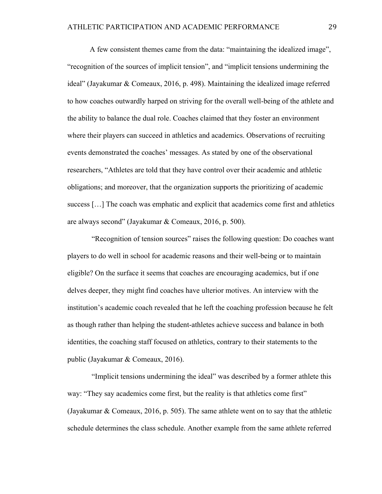A few consistent themes came from the data: "maintaining the idealized image", "recognition of the sources of implicit tension", and "implicit tensions undermining the ideal" (Jayakumar & Comeaux, 2016, p. 498). Maintaining the idealized image referred to how coaches outwardly harped on striving for the overall well-being of the athlete and the ability to balance the dual role. Coaches claimed that they foster an environment where their players can succeed in athletics and academics. Observations of recruiting events demonstrated the coaches' messages. As stated by one of the observational researchers, "Athletes are told that they have control over their academic and athletic obligations; and moreover, that the organization supports the prioritizing of academic success […] The coach was emphatic and explicit that academics come first and athletics are always second" (Jayakumar & Comeaux, 2016, p. 500).

"Recognition of tension sources" raises the following question: Do coaches want players to do well in school for academic reasons and their well-being or to maintain eligible? On the surface it seems that coaches are encouraging academics, but if one delves deeper, they might find coaches have ulterior motives. An interview with the institution's academic coach revealed that he left the coaching profession because he felt as though rather than helping the student-athletes achieve success and balance in both identities, the coaching staff focused on athletics, contrary to their statements to the public (Jayakumar & Comeaux, 2016).

"Implicit tensions undermining the ideal" was described by a former athlete this way: "They say academics come first, but the reality is that athletics come first" (Jayakumar & Comeaux, 2016, p. 505). The same athlete went on to say that the athletic schedule determines the class schedule. Another example from the same athlete referred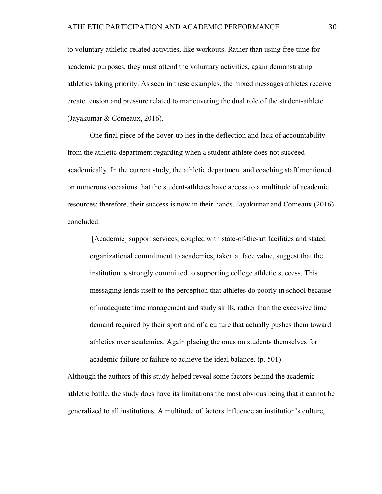to voluntary athletic-related activities, like workouts. Rather than using free time for academic purposes, they must attend the voluntary activities, again demonstrating athletics taking priority. As seen in these examples, the mixed messages athletes receive create tension and pressure related to maneuvering the dual role of the student-athlete (Jayakumar & Comeaux, 2016).

One final piece of the cover-up lies in the deflection and lack of accountability from the athletic department regarding when a student-athlete does not succeed academically. In the current study, the athletic department and coaching staff mentioned on numerous occasions that the student-athletes have access to a multitude of academic resources; therefore, their success is now in their hands. Jayakumar and Comeaux (2016) concluded:

[Academic] support services, coupled with state-of-the-art facilities and stated organizational commitment to academics, taken at face value, suggest that the institution is strongly committed to supporting college athletic success. This messaging lends itself to the perception that athletes do poorly in school because of inadequate time management and study skills, rather than the excessive time demand required by their sport and of a culture that actually pushes them toward athletics over academics. Again placing the onus on students themselves for academic failure or failure to achieve the ideal balance. (p. 501)

Although the authors of this study helped reveal some factors behind the academicathletic battle, the study does have its limitations the most obvious being that it cannot be generalized to all institutions. A multitude of factors influence an institution's culture,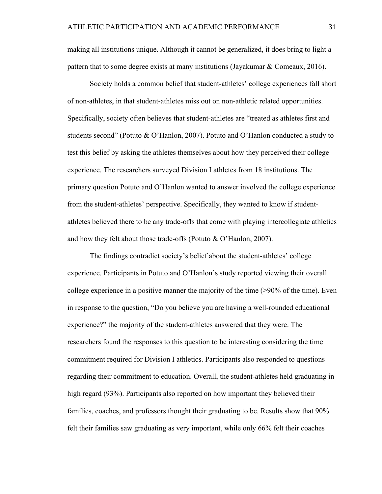making all institutions unique. Although it cannot be generalized, it does bring to light a pattern that to some degree exists at many institutions (Jayakumar & Comeaux, 2016).

Society holds a common belief that student-athletes' college experiences fall short of non-athletes, in that student-athletes miss out on non-athletic related opportunities. Specifically, society often believes that student-athletes are "treated as athletes first and students second" (Potuto & O'Hanlon, 2007). Potuto and O'Hanlon conducted a study to test this belief by asking the athletes themselves about how they perceived their college experience. The researchers surveyed Division I athletes from 18 institutions. The primary question Potuto and O'Hanlon wanted to answer involved the college experience from the student-athletes' perspective. Specifically, they wanted to know if studentathletes believed there to be any trade-offs that come with playing intercollegiate athletics and how they felt about those trade-offs (Potuto & O'Hanlon, 2007).

The findings contradict society's belief about the student-athletes' college experience. Participants in Potuto and O'Hanlon's study reported viewing their overall college experience in a positive manner the majority of the time (>90% of the time). Even in response to the question, "Do you believe you are having a well-rounded educational experience?" the majority of the student-athletes answered that they were. The researchers found the responses to this question to be interesting considering the time commitment required for Division I athletics. Participants also responded to questions regarding their commitment to education. Overall, the student-athletes held graduating in high regard (93%). Participants also reported on how important they believed their families, coaches, and professors thought their graduating to be. Results show that 90% felt their families saw graduating as very important, while only 66% felt their coaches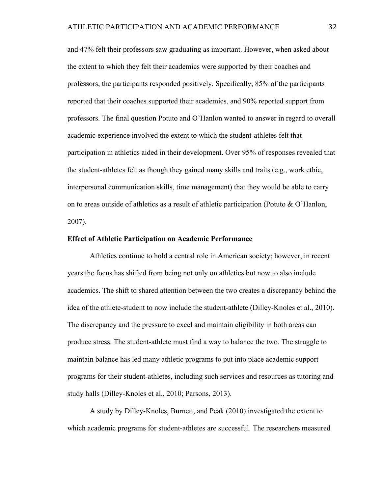and 47% felt their professors saw graduating as important. However, when asked about the extent to which they felt their academics were supported by their coaches and professors, the participants responded positively. Specifically, 85% of the participants reported that their coaches supported their academics, and 90% reported support from professors. The final question Potuto and O'Hanlon wanted to answer in regard to overall academic experience involved the extent to which the student-athletes felt that participation in athletics aided in their development. Over 95% of responses revealed that the student-athletes felt as though they gained many skills and traits (e.g., work ethic, interpersonal communication skills, time management) that they would be able to carry on to areas outside of athletics as a result of athletic participation (Potuto & O'Hanlon, 2007).

#### **Effect of Athletic Participation on Academic Performance**

Athletics continue to hold a central role in American society; however, in recent years the focus has shifted from being not only on athletics but now to also include academics. The shift to shared attention between the two creates a discrepancy behind the idea of the athlete-student to now include the student-athlete (Dilley-Knoles et al., 2010). The discrepancy and the pressure to excel and maintain eligibility in both areas can produce stress. The student-athlete must find a way to balance the two. The struggle to maintain balance has led many athletic programs to put into place academic support programs for their student-athletes, including such services and resources as tutoring and study halls (Dilley-Knoles et al., 2010; Parsons, 2013).

A study by Dilley-Knoles, Burnett, and Peak (2010) investigated the extent to which academic programs for student-athletes are successful. The researchers measured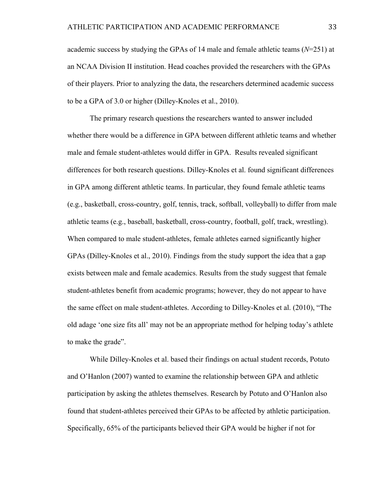academic success by studying the GPAs of 14 male and female athletic teams (*N*=251) at an NCAA Division II institution. Head coaches provided the researchers with the GPAs of their players. Prior to analyzing the data, the researchers determined academic success to be a GPA of 3.0 or higher (Dilley-Knoles et al., 2010).

The primary research questions the researchers wanted to answer included whether there would be a difference in GPA between different athletic teams and whether male and female student-athletes would differ in GPA. Results revealed significant differences for both research questions. Dilley-Knoles et al. found significant differences in GPA among different athletic teams. In particular, they found female athletic teams (e.g., basketball, cross-country, golf, tennis, track, softball, volleyball) to differ from male athletic teams (e.g., baseball, basketball, cross-country, football, golf, track, wrestling). When compared to male student-athletes, female athletes earned significantly higher GPAs (Dilley-Knoles et al., 2010). Findings from the study support the idea that a gap exists between male and female academics. Results from the study suggest that female student-athletes benefit from academic programs; however, they do not appear to have the same effect on male student-athletes. According to Dilley-Knoles et al. (2010), "The old adage 'one size fits all' may not be an appropriate method for helping today's athlete to make the grade".

While Dilley-Knoles et al. based their findings on actual student records, Potuto and O'Hanlon (2007) wanted to examine the relationship between GPA and athletic participation by asking the athletes themselves. Research by Potuto and O'Hanlon also found that student-athletes perceived their GPAs to be affected by athletic participation. Specifically, 65% of the participants believed their GPA would be higher if not for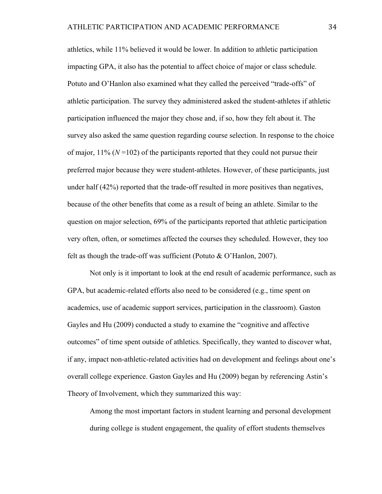athletics, while 11% believed it would be lower. In addition to athletic participation impacting GPA, it also has the potential to affect choice of major or class schedule. Potuto and O'Hanlon also examined what they called the perceived "trade-offs" of athletic participation. The survey they administered asked the student-athletes if athletic participation influenced the major they chose and, if so, how they felt about it. The survey also asked the same question regarding course selection. In response to the choice of major,  $11\%$  ( $N=102$ ) of the participants reported that they could not pursue their preferred major because they were student-athletes. However, of these participants, just under half (42%) reported that the trade-off resulted in more positives than negatives, because of the other benefits that come as a result of being an athlete. Similar to the question on major selection, 69% of the participants reported that athletic participation very often, often, or sometimes affected the courses they scheduled. However, they too felt as though the trade-off was sufficient (Potuto & O'Hanlon, 2007).

Not only is it important to look at the end result of academic performance, such as GPA, but academic-related efforts also need to be considered (e.g., time spent on academics, use of academic support services, participation in the classroom). Gaston Gayles and Hu (2009) conducted a study to examine the "cognitive and affective outcomes" of time spent outside of athletics. Specifically, they wanted to discover what, if any, impact non-athletic-related activities had on development and feelings about one's overall college experience. Gaston Gayles and Hu (2009) began by referencing Astin's Theory of Involvement, which they summarized this way:

Among the most important factors in student learning and personal development during college is student engagement, the quality of effort students themselves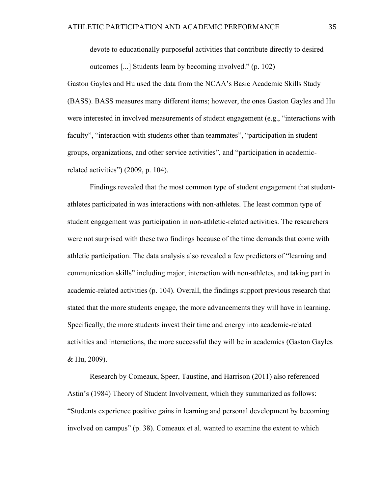devote to educationally purposeful activities that contribute directly to desired outcomes [...] Students learn by becoming involved." (p. 102)

Gaston Gayles and Hu used the data from the NCAA's Basic Academic Skills Study (BASS). BASS measures many different items; however, the ones Gaston Gayles and Hu were interested in involved measurements of student engagement (e.g., "interactions with faculty", "interaction with students other than teammates", "participation in student groups, organizations, and other service activities", and "participation in academicrelated activities") (2009, p. 104).

Findings revealed that the most common type of student engagement that studentathletes participated in was interactions with non-athletes. The least common type of student engagement was participation in non-athletic-related activities. The researchers were not surprised with these two findings because of the time demands that come with athletic participation. The data analysis also revealed a few predictors of "learning and communication skills" including major, interaction with non-athletes, and taking part in academic-related activities (p. 104). Overall, the findings support previous research that stated that the more students engage, the more advancements they will have in learning. Specifically, the more students invest their time and energy into academic-related activities and interactions, the more successful they will be in academics (Gaston Gayles & Hu, 2009).

Research by Comeaux, Speer, Taustine, and Harrison (2011) also referenced Astin's (1984) Theory of Student Involvement, which they summarized as follows: "Students experience positive gains in learning and personal development by becoming involved on campus" (p. 38). Comeaux et al. wanted to examine the extent to which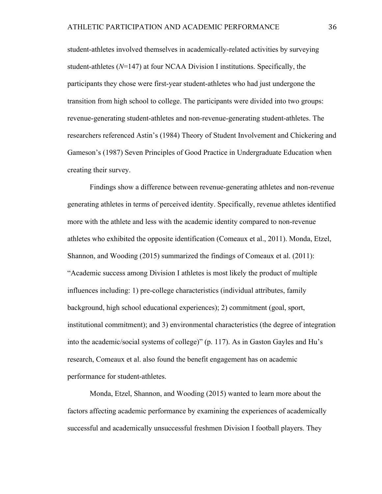student-athletes involved themselves in academically-related activities by surveying student-athletes (*N*=147) at four NCAA Division I institutions. Specifically, the participants they chose were first-year student-athletes who had just undergone the transition from high school to college. The participants were divided into two groups: revenue-generating student-athletes and non-revenue-generating student-athletes. The researchers referenced Astin's (1984) Theory of Student Involvement and Chickering and Gameson's (1987) Seven Principles of Good Practice in Undergraduate Education when creating their survey.

Findings show a difference between revenue-generating athletes and non-revenue generating athletes in terms of perceived identity. Specifically, revenue athletes identified more with the athlete and less with the academic identity compared to non-revenue athletes who exhibited the opposite identification (Comeaux et al., 2011). Monda, Etzel, Shannon, and Wooding (2015) summarized the findings of Comeaux et al. (2011): "Academic success among Division I athletes is most likely the product of multiple influences including: 1) pre-college characteristics (individual attributes, family background, high school educational experiences); 2) commitment (goal, sport, institutional commitment); and 3) environmental characteristics (the degree of integration into the academic/social systems of college)" (p. 117). As in Gaston Gayles and Hu's research, Comeaux et al. also found the benefit engagement has on academic performance for student-athletes.

Monda, Etzel, Shannon, and Wooding (2015) wanted to learn more about the factors affecting academic performance by examining the experiences of academically successful and academically unsuccessful freshmen Division I football players. They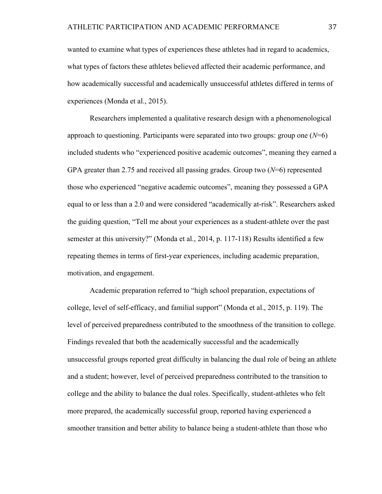wanted to examine what types of experiences these athletes had in regard to academics, what types of factors these athletes believed affected their academic performance, and how academically successful and academically unsuccessful athletes differed in terms of experiences (Monda et al., 2015).

Researchers implemented a qualitative research design with a phenomenological approach to questioning. Participants were separated into two groups: group one (*N*=6) included students who "experienced positive academic outcomes", meaning they earned a GPA greater than 2.75 and received all passing grades. Group two (*N*=6) represented those who experienced "negative academic outcomes", meaning they possessed a GPA equal to or less than a 2.0 and were considered "academically at-risk". Researchers asked the guiding question, "Tell me about your experiences as a student-athlete over the past semester at this university?" (Monda et al., 2014, p. 117-118) Results identified a few repeating themes in terms of first-year experiences, including academic preparation, motivation, and engagement.

Academic preparation referred to "high school preparation, expectations of college, level of self-efficacy, and familial support" (Monda et al., 2015, p. 119). The level of perceived preparedness contributed to the smoothness of the transition to college. Findings revealed that both the academically successful and the academically unsuccessful groups reported great difficulty in balancing the dual role of being an athlete and a student; however, level of perceived preparedness contributed to the transition to college and the ability to balance the dual roles. Specifically, student-athletes who felt more prepared, the academically successful group, reported having experienced a smoother transition and better ability to balance being a student-athlete than those who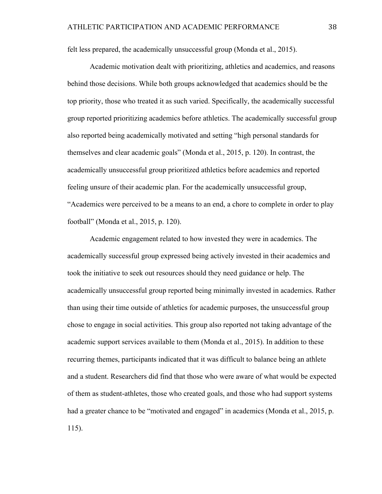felt less prepared, the academically unsuccessful group (Monda et al., 2015).

Academic motivation dealt with prioritizing, athletics and academics, and reasons behind those decisions. While both groups acknowledged that academics should be the top priority, those who treated it as such varied. Specifically, the academically successful group reported prioritizing academics before athletics. The academically successful group also reported being academically motivated and setting "high personal standards for themselves and clear academic goals" (Monda et al., 2015, p. 120). In contrast, the academically unsuccessful group prioritized athletics before academics and reported feeling unsure of their academic plan. For the academically unsuccessful group, "Academics were perceived to be a means to an end, a chore to complete in order to play football" (Monda et al., 2015, p. 120).

Academic engagement related to how invested they were in academics. The academically successful group expressed being actively invested in their academics and took the initiative to seek out resources should they need guidance or help. The academically unsuccessful group reported being minimally invested in academics. Rather than using their time outside of athletics for academic purposes, the unsuccessful group chose to engage in social activities. This group also reported not taking advantage of the academic support services available to them (Monda et al., 2015). In addition to these recurring themes, participants indicated that it was difficult to balance being an athlete and a student. Researchers did find that those who were aware of what would be expected of them as student-athletes, those who created goals, and those who had support systems had a greater chance to be "motivated and engaged" in academics (Monda et al., 2015, p. 115).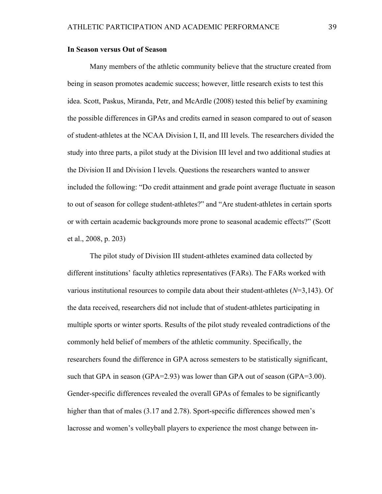#### **In Season versus Out of Season**

Many members of the athletic community believe that the structure created from being in season promotes academic success; however, little research exists to test this idea. Scott, Paskus, Miranda, Petr, and McArdle (2008) tested this belief by examining the possible differences in GPAs and credits earned in season compared to out of season of student-athletes at the NCAA Division I, II, and III levels. The researchers divided the study into three parts, a pilot study at the Division III level and two additional studies at the Division II and Division I levels. Questions the researchers wanted to answer included the following: "Do credit attainment and grade point average fluctuate in season to out of season for college student-athletes?" and "Are student-athletes in certain sports or with certain academic backgrounds more prone to seasonal academic effects?" (Scott et al., 2008, p. 203)

The pilot study of Division III student-athletes examined data collected by different institutions' faculty athletics representatives (FARs). The FARs worked with various institutional resources to compile data about their student-athletes (*N*=3,143). Of the data received, researchers did not include that of student-athletes participating in multiple sports or winter sports. Results of the pilot study revealed contradictions of the commonly held belief of members of the athletic community. Specifically, the researchers found the difference in GPA across semesters to be statistically significant, such that GPA in season (GPA=2.93) was lower than GPA out of season (GPA=3.00). Gender-specific differences revealed the overall GPAs of females to be significantly higher than that of males (3.17 and 2.78). Sport-specific differences showed men's lacrosse and women's volleyball players to experience the most change between in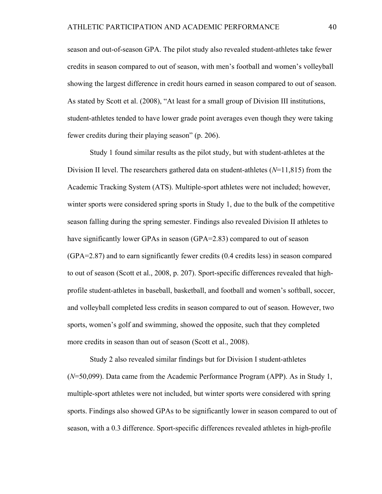season and out-of-season GPA. The pilot study also revealed student-athletes take fewer credits in season compared to out of season, with men's football and women's volleyball showing the largest difference in credit hours earned in season compared to out of season. As stated by Scott et al. (2008), "At least for a small group of Division III institutions, student-athletes tended to have lower grade point averages even though they were taking fewer credits during their playing season" (p. 206).

Study 1 found similar results as the pilot study, but with student-athletes at the Division II level. The researchers gathered data on student-athletes (*N*=11,815) from the Academic Tracking System (ATS). Multiple-sport athletes were not included; however, winter sports were considered spring sports in Study 1, due to the bulk of the competitive season falling during the spring semester. Findings also revealed Division II athletes to have significantly lower GPAs in season (GPA=2.83) compared to out of season (GPA=2.87) and to earn significantly fewer credits (0.4 credits less) in season compared to out of season (Scott et al., 2008, p. 207). Sport-specific differences revealed that highprofile student-athletes in baseball, basketball, and football and women's softball, soccer, and volleyball completed less credits in season compared to out of season. However, two sports, women's golf and swimming, showed the opposite, such that they completed more credits in season than out of season (Scott et al., 2008).

Study 2 also revealed similar findings but for Division I student-athletes (*N*=50,099). Data came from the Academic Performance Program (APP). As in Study 1, multiple-sport athletes were not included, but winter sports were considered with spring sports. Findings also showed GPAs to be significantly lower in season compared to out of season, with a 0.3 difference. Sport-specific differences revealed athletes in high-profile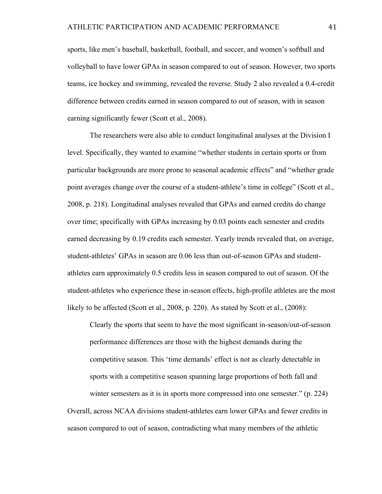sports, like men's baseball, basketball, football, and soccer, and women's softball and volleyball to have lower GPAs in season compared to out of season. However, two sports teams, ice hockey and swimming, revealed the reverse. Study 2 also revealed a 0.4-credit difference between credits earned in season compared to out of season, with in season earning significantly fewer (Scott et al., 2008).

The researchers were also able to conduct longitudinal analyses at the Division I level. Specifically, they wanted to examine "whether students in certain sports or from particular backgrounds are more prone to seasonal academic effects" and "whether grade point averages change over the course of a student-athlete's time in college" (Scott et al., 2008, p. 218). Longitudinal analyses revealed that GPAs and earned credits do change over time; specifically with GPAs increasing by 0.03 points each semester and credits earned decreasing by 0.19 credits each semester. Yearly trends revealed that, on average, student-athletes' GPAs in season are 0.06 less than out-of-season GPAs and studentathletes earn approximately 0.5 credits less in season compared to out of season. Of the student-athletes who experience these in-season effects, high-profile athletes are the most likely to be affected (Scott et al., 2008, p. 220). As stated by Scott et al., (2008):

Clearly the sports that seem to have the most significant in-season/out-of-season performance differences are those with the highest demands during the competitive season. This 'time demands' effect is not as clearly detectable in sports with a competitive season spanning large proportions of both fall and winter semesters as it is in sports more compressed into one semester." (p. 224) Overall, across NCAA divisions student-athletes earn lower GPAs and fewer credits in season compared to out of season, contradicting what many members of the athletic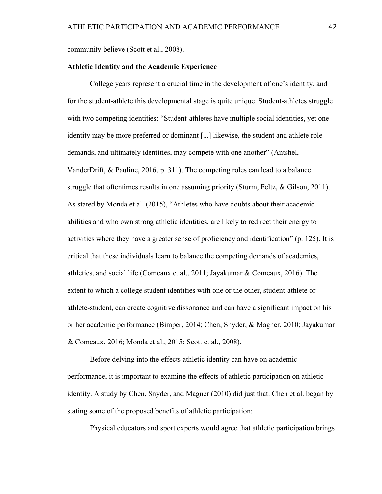community believe (Scott et al., 2008).

#### **Athletic Identity and the Academic Experience**

College years represent a crucial time in the development of one's identity, and for the student-athlete this developmental stage is quite unique. Student-athletes struggle with two competing identities: "Student-athletes have multiple social identities, yet one identity may be more preferred or dominant [...] likewise, the student and athlete role demands, and ultimately identities, may compete with one another" (Antshel, VanderDrift, & Pauline, 2016, p. 311). The competing roles can lead to a balance struggle that oftentimes results in one assuming priority (Sturm, Feltz, & Gilson, 2011). As stated by Monda et al. (2015), "Athletes who have doubts about their academic abilities and who own strong athletic identities, are likely to redirect their energy to activities where they have a greater sense of proficiency and identification" (p. 125). It is critical that these individuals learn to balance the competing demands of academics, athletics, and social life (Comeaux et al., 2011; Jayakumar & Comeaux, 2016). The extent to which a college student identifies with one or the other, student-athlete or athlete-student, can create cognitive dissonance and can have a significant impact on his or her academic performance (Bimper, 2014; Chen, Snyder, & Magner, 2010; Jayakumar & Comeaux, 2016; Monda et al., 2015; Scott et al., 2008).

Before delving into the effects athletic identity can have on academic performance, it is important to examine the effects of athletic participation on athletic identity. A study by Chen, Snyder, and Magner (2010) did just that. Chen et al. began by stating some of the proposed benefits of athletic participation:

Physical educators and sport experts would agree that athletic participation brings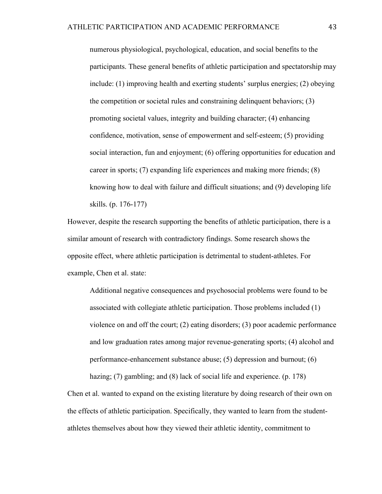numerous physiological, psychological, education, and social benefits to the participants. These general benefits of athletic participation and spectatorship may include: (1) improving health and exerting students' surplus energies; (2) obeying the competition or societal rules and constraining delinquent behaviors; (3) promoting societal values, integrity and building character; (4) enhancing confidence, motivation, sense of empowerment and self-esteem; (5) providing social interaction, fun and enjoyment; (6) offering opportunities for education and career in sports; (7) expanding life experiences and making more friends; (8) knowing how to deal with failure and difficult situations; and (9) developing life skills. (p. 176-177)

However, despite the research supporting the benefits of athletic participation, there is a similar amount of research with contradictory findings. Some research shows the opposite effect, where athletic participation is detrimental to student-athletes. For example, Chen et al. state:

Additional negative consequences and psychosocial problems were found to be associated with collegiate athletic participation. Those problems included (1) violence on and off the court; (2) eating disorders; (3) poor academic performance and low graduation rates among major revenue-generating sports; (4) alcohol and performance-enhancement substance abuse; (5) depression and burnout; (6)

Chen et al. wanted to expand on the existing literature by doing research of their own on the effects of athletic participation. Specifically, they wanted to learn from the studentathletes themselves about how they viewed their athletic identity, commitment to

hazing; (7) gambling; and (8) lack of social life and experience. (p. 178)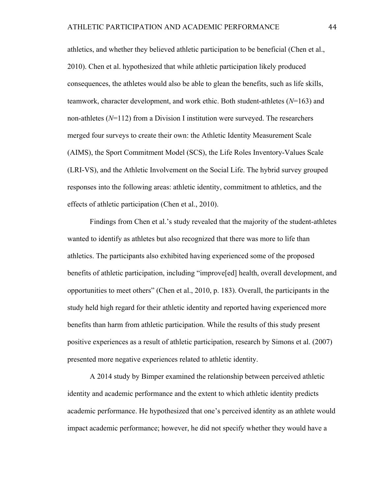athletics, and whether they believed athletic participation to be beneficial (Chen et al., 2010). Chen et al. hypothesized that while athletic participation likely produced consequences, the athletes would also be able to glean the benefits, such as life skills, teamwork, character development, and work ethic. Both student-athletes (*N*=163) and non-athletes (*N*=112) from a Division I institution were surveyed. The researchers merged four surveys to create their own: the Athletic Identity Measurement Scale (AIMS), the Sport Commitment Model (SCS), the Life Roles Inventory-Values Scale (LRI-VS), and the Athletic Involvement on the Social Life. The hybrid survey grouped responses into the following areas: athletic identity, commitment to athletics, and the effects of athletic participation (Chen et al., 2010).

Findings from Chen et al.'s study revealed that the majority of the student-athletes wanted to identify as athletes but also recognized that there was more to life than athletics. The participants also exhibited having experienced some of the proposed benefits of athletic participation, including "improve[ed] health, overall development, and opportunities to meet others" (Chen et al., 2010, p. 183). Overall, the participants in the study held high regard for their athletic identity and reported having experienced more benefits than harm from athletic participation. While the results of this study present positive experiences as a result of athletic participation, research by Simons et al. (2007) presented more negative experiences related to athletic identity.

A 2014 study by Bimper examined the relationship between perceived athletic identity and academic performance and the extent to which athletic identity predicts academic performance. He hypothesized that one's perceived identity as an athlete would impact academic performance; however, he did not specify whether they would have a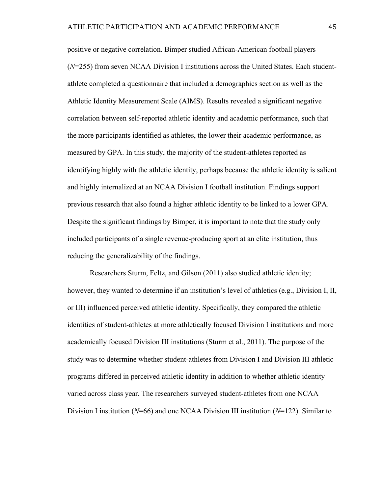positive or negative correlation. Bimper studied African-American football players (*N*=255) from seven NCAA Division I institutions across the United States. Each studentathlete completed a questionnaire that included a demographics section as well as the Athletic Identity Measurement Scale (AIMS). Results revealed a significant negative correlation between self-reported athletic identity and academic performance, such that the more participants identified as athletes, the lower their academic performance, as measured by GPA. In this study, the majority of the student-athletes reported as identifying highly with the athletic identity, perhaps because the athletic identity is salient and highly internalized at an NCAA Division I football institution. Findings support previous research that also found a higher athletic identity to be linked to a lower GPA. Despite the significant findings by Bimper, it is important to note that the study only included participants of a single revenue-producing sport at an elite institution, thus reducing the generalizability of the findings.

Researchers Sturm, Feltz, and Gilson (2011) also studied athletic identity; however, they wanted to determine if an institution's level of athletics (e.g., Division I, II, or III) influenced perceived athletic identity. Specifically, they compared the athletic identities of student-athletes at more athletically focused Division I institutions and more academically focused Division III institutions (Sturm et al., 2011). The purpose of the study was to determine whether student-athletes from Division I and Division III athletic programs differed in perceived athletic identity in addition to whether athletic identity varied across class year. The researchers surveyed student-athletes from one NCAA Division I institution (*N*=66) and one NCAA Division III institution (*N*=122). Similar to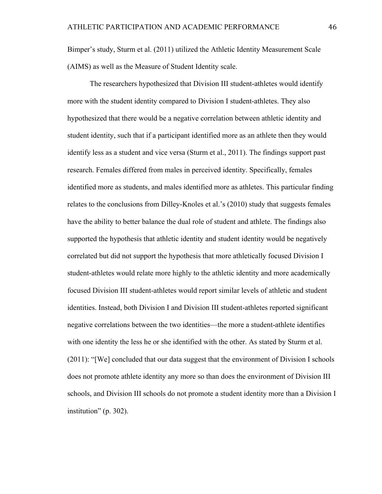Bimper's study, Sturm et al. (2011) utilized the Athletic Identity Measurement Scale (AIMS) as well as the Measure of Student Identity scale.

The researchers hypothesized that Division III student-athletes would identify more with the student identity compared to Division I student-athletes. They also hypothesized that there would be a negative correlation between athletic identity and student identity, such that if a participant identified more as an athlete then they would identify less as a student and vice versa (Sturm et al., 2011). The findings support past research. Females differed from males in perceived identity. Specifically, females identified more as students, and males identified more as athletes. This particular finding relates to the conclusions from Dilley-Knoles et al.'s (2010) study that suggests females have the ability to better balance the dual role of student and athlete. The findings also supported the hypothesis that athletic identity and student identity would be negatively correlated but did not support the hypothesis that more athletically focused Division I student-athletes would relate more highly to the athletic identity and more academically focused Division III student-athletes would report similar levels of athletic and student identities. Instead, both Division I and Division III student-athletes reported significant negative correlations between the two identities—the more a student-athlete identifies with one identity the less he or she identified with the other. As stated by Sturm et al. (2011): "[We] concluded that our data suggest that the environment of Division I schools does not promote athlete identity any more so than does the environment of Division III schools, and Division III schools do not promote a student identity more than a Division I institution" (p. 302).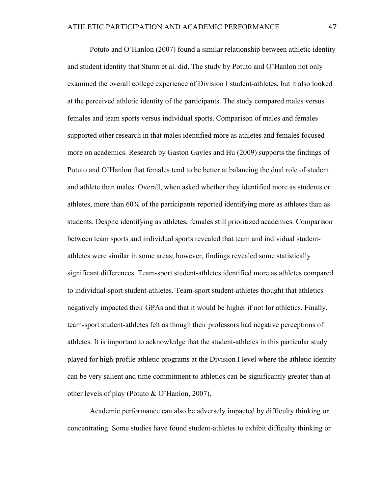Potuto and O'Hanlon (2007) found a similar relationship between athletic identity and student identity that Sturm et al. did. The study by Potuto and O'Hanlon not only examined the overall college experience of Division I student-athletes, but it also looked at the perceived athletic identity of the participants. The study compared males versus females and team sports versus individual sports. Comparison of males and females supported other research in that males identified more as athletes and females focused more on academics. Research by Gaston Gayles and Hu (2009) supports the findings of Potuto and O'Hanlon that females tend to be better at balancing the dual role of student and athlete than males. Overall, when asked whether they identified more as students or athletes, more than 60% of the participants reported identifying more as athletes than as students. Despite identifying as athletes, females still prioritized academics. Comparison between team sports and individual sports revealed that team and individual studentathletes were similar in some areas; however, findings revealed some statistically significant differences. Team-sport student-athletes identified more as athletes compared to individual-sport student-athletes. Team-sport student-athletes thought that athletics negatively impacted their GPAs and that it would be higher if not for athletics. Finally, team-sport student-athletes felt as though their professors had negative perceptions of athletes. It is important to acknowledge that the student-athletes in this particular study played for high-profile athletic programs at the Division I level where the athletic identity can be very salient and time commitment to athletics can be significantly greater than at other levels of play (Potuto & O'Hanlon, 2007).

Academic performance can also be adversely impacted by difficulty thinking or concentrating. Some studies have found student-athletes to exhibit difficulty thinking or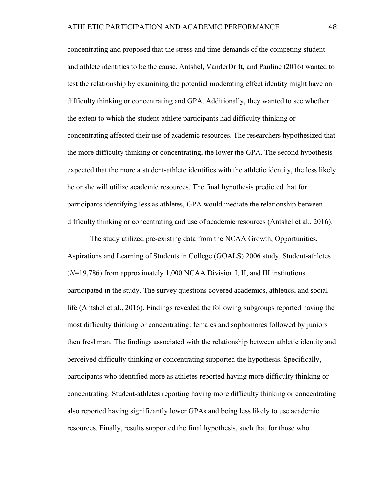concentrating and proposed that the stress and time demands of the competing student and athlete identities to be the cause. Antshel, VanderDrift, and Pauline (2016) wanted to test the relationship by examining the potential moderating effect identity might have on difficulty thinking or concentrating and GPA. Additionally, they wanted to see whether the extent to which the student-athlete participants had difficulty thinking or concentrating affected their use of academic resources. The researchers hypothesized that the more difficulty thinking or concentrating, the lower the GPA. The second hypothesis expected that the more a student-athlete identifies with the athletic identity, the less likely he or she will utilize academic resources. The final hypothesis predicted that for participants identifying less as athletes, GPA would mediate the relationship between difficulty thinking or concentrating and use of academic resources (Antshel et al., 2016).

The study utilized pre-existing data from the NCAA Growth, Opportunities, Aspirations and Learning of Students in College (GOALS) 2006 study. Student-athletes (*N*=19,786) from approximately 1,000 NCAA Division I, II, and III institutions participated in the study. The survey questions covered academics, athletics, and social life (Antshel et al., 2016). Findings revealed the following subgroups reported having the most difficulty thinking or concentrating: females and sophomores followed by juniors then freshman. The findings associated with the relationship between athletic identity and perceived difficulty thinking or concentrating supported the hypothesis. Specifically, participants who identified more as athletes reported having more difficulty thinking or concentrating. Student-athletes reporting having more difficulty thinking or concentrating also reported having significantly lower GPAs and being less likely to use academic resources. Finally, results supported the final hypothesis, such that for those who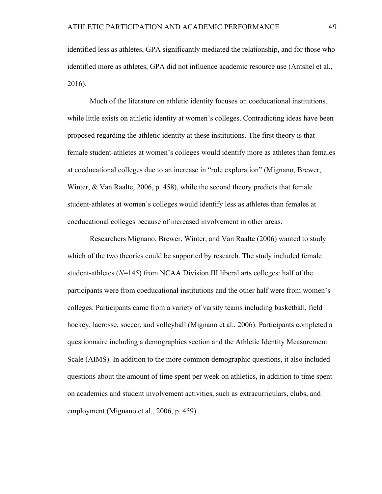identified less as athletes, GPA significantly mediated the relationship, and for those who identified more as athletes, GPA did not influence academic resource use (Antshel et al., 2016).

Much of the literature on athletic identity focuses on coeducational institutions, while little exists on athletic identity at women's colleges. Contradicting ideas have been proposed regarding the athletic identity at these institutions. The first theory is that female student-athletes at women's colleges would identify more as athletes than females at coeducational colleges due to an increase in "role exploration" (Mignano, Brewer, Winter, & Van Raalte, 2006, p. 458), while the second theory predicts that female student-athletes at women's colleges would identify less as athletes than females at coeducational colleges because of increased involvement in other areas.

Researchers Mignano, Brewer, Winter, and Van Raalte (2006) wanted to study which of the two theories could be supported by research. The study included female student-athletes (*N*=145) from NCAA Division III liberal arts colleges: half of the participants were from coeducational institutions and the other half were from women's colleges. Participants came from a variety of varsity teams including basketball, field hockey, lacrosse, soccer, and volleyball (Mignano et al., 2006). Participants completed a questionnaire including a demographics section and the Athletic Identity Measurement Scale (AIMS). In addition to the more common demographic questions, it also included questions about the amount of time spent per week on athletics, in addition to time spent on academics and student involvement activities, such as extracurriculars, clubs, and employment (Mignano et al., 2006, p. 459).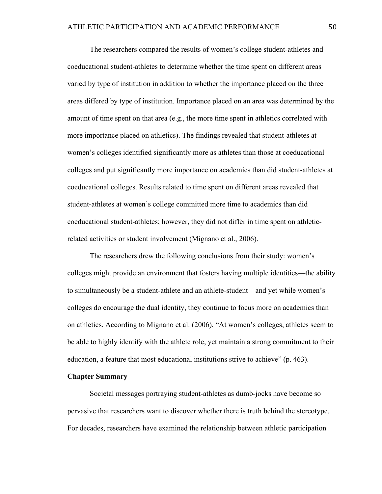The researchers compared the results of women's college student-athletes and coeducational student-athletes to determine whether the time spent on different areas varied by type of institution in addition to whether the importance placed on the three areas differed by type of institution. Importance placed on an area was determined by the amount of time spent on that area (e.g., the more time spent in athletics correlated with more importance placed on athletics). The findings revealed that student-athletes at women's colleges identified significantly more as athletes than those at coeducational colleges and put significantly more importance on academics than did student-athletes at coeducational colleges. Results related to time spent on different areas revealed that student-athletes at women's college committed more time to academics than did coeducational student-athletes; however, they did not differ in time spent on athleticrelated activities or student involvement (Mignano et al., 2006).

The researchers drew the following conclusions from their study: women's colleges might provide an environment that fosters having multiple identities—the ability to simultaneously be a student-athlete and an athlete-student—and yet while women's colleges do encourage the dual identity, they continue to focus more on academics than on athletics. According to Mignano et al. (2006), "At women's colleges, athletes seem to be able to highly identify with the athlete role, yet maintain a strong commitment to their education, a feature that most educational institutions strive to achieve" (p. 463).

#### **Chapter Summary**

Societal messages portraying student-athletes as dumb-jocks have become so pervasive that researchers want to discover whether there is truth behind the stereotype. For decades, researchers have examined the relationship between athletic participation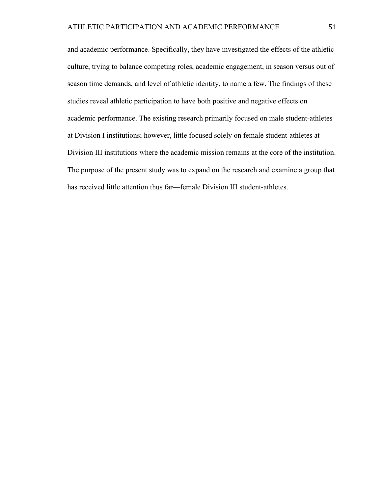and academic performance. Specifically, they have investigated the effects of the athletic culture, trying to balance competing roles, academic engagement, in season versus out of season time demands, and level of athletic identity, to name a few. The findings of these studies reveal athletic participation to have both positive and negative effects on academic performance. The existing research primarily focused on male student-athletes at Division I institutions; however, little focused solely on female student-athletes at Division III institutions where the academic mission remains at the core of the institution. The purpose of the present study was to expand on the research and examine a group that has received little attention thus far—female Division III student-athletes.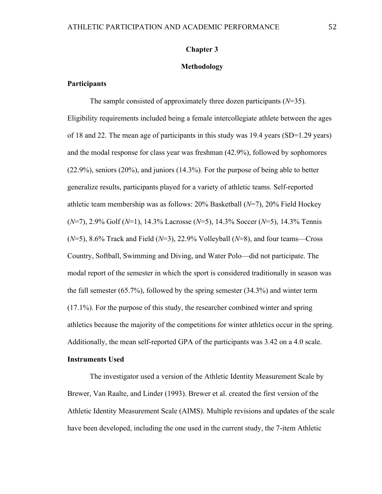#### **Chapter 3**

#### **Methodology**

#### **Participants**

The sample consisted of approximately three dozen participants (*N*=35). Eligibility requirements included being a female intercollegiate athlete between the ages of 18 and 22. The mean age of participants in this study was 19.4 years (SD=1.29 years) and the modal response for class year was freshman (42.9%), followed by sophomores (22.9%), seniors (20%), and juniors (14.3%). For the purpose of being able to better generalize results, participants played for a variety of athletic teams. Self-reported athletic team membership was as follows: 20% Basketball (*N*=7), 20% Field Hockey (*N*=7), 2.9% Golf (*N*=1), 14.3% Lacrosse (*N*=5), 14.3% Soccer (*N*=5), 14.3% Tennis (*N*=5), 8.6% Track and Field (*N*=3), 22.9% Volleyball (*N*=8), and four teams—Cross Country, Softball, Swimming and Diving, and Water Polo—did not participate. The modal report of the semester in which the sport is considered traditionally in season was the fall semester (65.7%), followed by the spring semester (34.3%) and winter term (17.1%). For the purpose of this study, the researcher combined winter and spring athletics because the majority of the competitions for winter athletics occur in the spring. Additionally, the mean self-reported GPA of the participants was 3.42 on a 4.0 scale.

#### **Instruments Used**

The investigator used a version of the Athletic Identity Measurement Scale by Brewer, Van Raalte, and Linder (1993). Brewer et al. created the first version of the Athletic Identity Measurement Scale (AIMS). Multiple revisions and updates of the scale have been developed, including the one used in the current study, the 7-item Athletic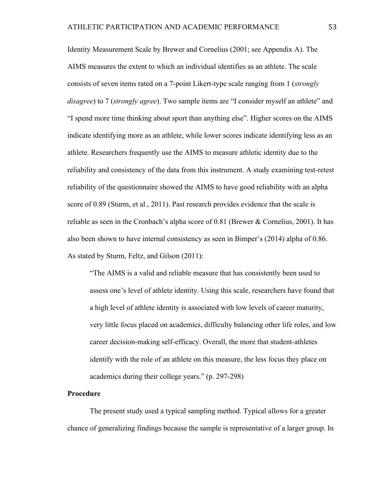Identity Measurement Scale by Brewer and Cornelius (2001; see Appendix A). The AIMS measures the extent to which an individual identifies as an athlete. The scale consists of seven items rated on a 7-point Likert-type scale ranging from 1 (*strongly disagree*) to 7 (*strongly agree*). Two sample items are "I consider myself an athlete" and "I spend more time thinking about sport than anything else". Higher scores on the AIMS indicate identifying more as an athlete, while lower scores indicate identifying less as an athlete. Researchers frequently use the AIMS to measure athletic identity due to the reliability and consistency of the data from this instrument. A study examining test-retest reliability of the questionnaire showed the AIMS to have good reliability with an alpha score of 0.89 (Sturm, et al., 2011). Past research provides evidence that the scale is reliable as seen in the Cronbach's alpha score of  $0.81$  (Brewer & Cornelius, 2001). It has also been shown to have internal consistency as seen in Bimper's (2014) alpha of 0.86. As stated by Sturm, Feltz, and Gilson (2011):

"The AIMS is a valid and reliable measure that has consistently been used to assess one's level of athlete identity. Using this scale, researchers have found that a high level of athlete identity is associated with low levels of career maturity, very little focus placed on academics, difficulty balancing other life roles, and low career decision-making self-efficacy. Overall, the more that student-athletes identify with the role of an athlete on this measure, the less focus they place on academics during their college years." (p. 297-298)

#### **Procedure**

The present study used a typical sampling method. Typical allows for a greater chance of generalizing findings because the sample is representative of a larger group. In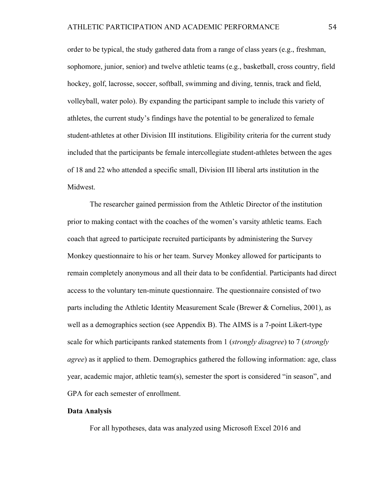order to be typical, the study gathered data from a range of class years (e.g., freshman, sophomore, junior, senior) and twelve athletic teams (e.g., basketball, cross country, field hockey, golf, lacrosse, soccer, softball, swimming and diving, tennis, track and field, volleyball, water polo). By expanding the participant sample to include this variety of athletes, the current study's findings have the potential to be generalized to female student-athletes at other Division III institutions. Eligibility criteria for the current study included that the participants be female intercollegiate student-athletes between the ages of 18 and 22 who attended a specific small, Division III liberal arts institution in the Midwest.

The researcher gained permission from the Athletic Director of the institution prior to making contact with the coaches of the women's varsity athletic teams. Each coach that agreed to participate recruited participants by administering the Survey Monkey questionnaire to his or her team. Survey Monkey allowed for participants to remain completely anonymous and all their data to be confidential. Participants had direct access to the voluntary ten-minute questionnaire. The questionnaire consisted of two parts including the Athletic Identity Measurement Scale (Brewer & Cornelius, 2001), as well as a demographics section (see Appendix B). The AIMS is a 7-point Likert-type scale for which participants ranked statements from 1 (*strongly disagree*) to 7 (*strongly agree*) as it applied to them. Demographics gathered the following information: age, class year, academic major, athletic team(s), semester the sport is considered "in season", and GPA for each semester of enrollment.

#### **Data Analysis**

For all hypotheses, data was analyzed using Microsoft Excel 2016 and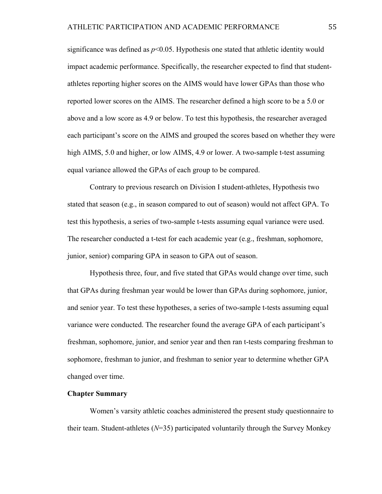significance was defined as  $p<0.05$ . Hypothesis one stated that athletic identity would impact academic performance. Specifically, the researcher expected to find that studentathletes reporting higher scores on the AIMS would have lower GPAs than those who reported lower scores on the AIMS. The researcher defined a high score to be a 5.0 or above and a low score as 4.9 or below. To test this hypothesis, the researcher averaged each participant's score on the AIMS and grouped the scores based on whether they were high AIMS, 5.0 and higher, or low AIMS, 4.9 or lower. A two-sample t-test assuming equal variance allowed the GPAs of each group to be compared.

Contrary to previous research on Division I student-athletes, Hypothesis two stated that season (e.g., in season compared to out of season) would not affect GPA. To test this hypothesis, a series of two-sample t-tests assuming equal variance were used. The researcher conducted a t-test for each academic year (e.g., freshman, sophomore, junior, senior) comparing GPA in season to GPA out of season.

Hypothesis three, four, and five stated that GPAs would change over time, such that GPAs during freshman year would be lower than GPAs during sophomore, junior, and senior year. To test these hypotheses, a series of two-sample t-tests assuming equal variance were conducted. The researcher found the average GPA of each participant's freshman, sophomore, junior, and senior year and then ran t-tests comparing freshman to sophomore, freshman to junior, and freshman to senior year to determine whether GPA changed over time.

#### **Chapter Summary**

Women's varsity athletic coaches administered the present study questionnaire to their team. Student-athletes (*N*=35) participated voluntarily through the Survey Monkey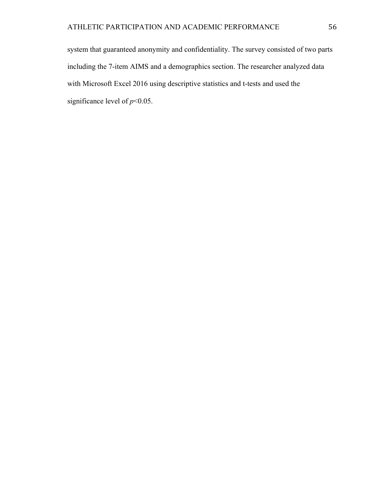system that guaranteed anonymity and confidentiality. The survey consisted of two parts including the 7-item AIMS and a demographics section. The researcher analyzed data with Microsoft Excel 2016 using descriptive statistics and t-tests and used the significance level of *p*<0.05.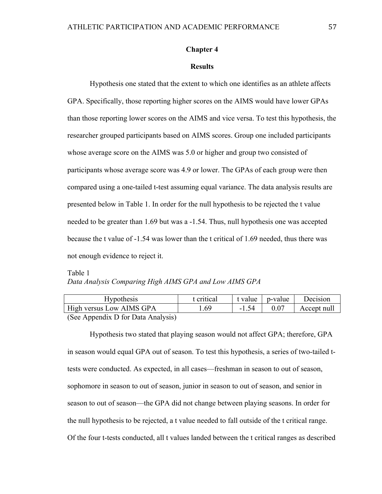#### **Chapter 4**

#### **Results**

Hypothesis one stated that the extent to which one identifies as an athlete affects GPA. Specifically, those reporting higher scores on the AIMS would have lower GPAs than those reporting lower scores on the AIMS and vice versa. To test this hypothesis, the researcher grouped participants based on AIMS scores. Group one included participants whose average score on the AIMS was 5.0 or higher and group two consisted of participants whose average score was 4.9 or lower. The GPAs of each group were then compared using a one-tailed t-test assuming equal variance. The data analysis results are presented below in Table 1. In order for the null hypothesis to be rejected the t value needed to be greater than 1.69 but was a -1.54. Thus, null hypothesis one was accepted because the t value of -1.54 was lower than the t critical of 1.69 needed, thus there was not enough evidence to reject it.

# Table 1 *Data Analysis Comparing High AIMS GPA and Low AIMS GPA*

| <b>Hypothesis</b>                                                         | t critical | t value 1 | p-value | Decision    |
|---------------------------------------------------------------------------|------------|-----------|---------|-------------|
| High versus Low AIMS GPA                                                  | .69        |           |         | Accept null |
| $(S_{\rho\sigma} \Delta$ no and $\Gamma$ of $\Gamma$ and $\Delta$ natural |            |           |         |             |

(See Appendix D for Data Analysis)

Hypothesis two stated that playing season would not affect GPA; therefore, GPA in season would equal GPA out of season. To test this hypothesis, a series of two-tailed ttests were conducted. As expected, in all cases—freshman in season to out of season, sophomore in season to out of season, junior in season to out of season, and senior in season to out of season—the GPA did not change between playing seasons. In order for the null hypothesis to be rejected, a t value needed to fall outside of the t critical range. Of the four t-tests conducted, all t values landed between the t critical ranges as described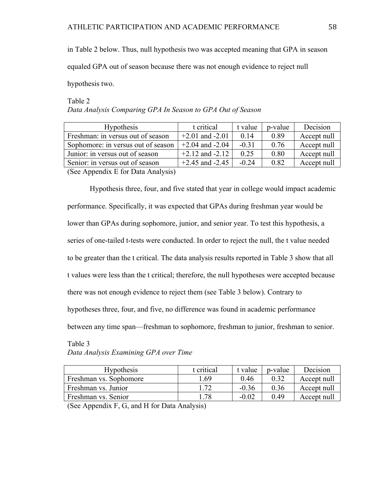in Table 2 below. Thus, null hypothesis two was accepted meaning that GPA in season

equaled GPA out of season because there was not enough evidence to reject null

hypothesis two.

## Table 2 *Data Analysis Comparing GPA In Season to GPA Out of Season*

| <b>Hypothesis</b>                         | t critical          | t value | p-value | Decision    |
|-------------------------------------------|---------------------|---------|---------|-------------|
| Freshman: in versus out of season         | $+2.01$ and $-2.01$ | 0.14    | 0.89    | Accept null |
| Sophomore: in versus out of season        | $+2.04$ and $-2.04$ | $-0.31$ | 0.76    | Accept null |
| Junior: in versus out of season           | $+2.12$ and $-2.12$ | 0.25    | 0.80    | Accept null |
| Senior: in versus out of season           | $+2.45$ and $-2.45$ | $-0.24$ | 0.82    | Accept null |
| $(S_{00}$ Annondiy $E$ for Data Anglycia) |                     |         |         |             |

(See Appendix E for Data Analysis)

Hypothesis three, four, and five stated that year in college would impact academic performance. Specifically, it was expected that GPAs during freshman year would be lower than GPAs during sophomore, junior, and senior year. To test this hypothesis, a series of one-tailed t-tests were conducted. In order to reject the null, the t value needed to be greater than the t critical. The data analysis results reported in Table 3 show that all t values were less than the t critical; therefore, the null hypotheses were accepted because there was not enough evidence to reject them (see Table 3 below). Contrary to hypotheses three, four, and five, no difference was found in academic performance between any time span—freshman to sophomore, freshman to junior, freshman to senior.

## Table 3 *Data Analysis Examining GPA over Time*

| <b>Hypothesis</b>      | t critical | t value | p-value | Decision    |
|------------------------|------------|---------|---------|-------------|
| Freshman vs. Sophomore | .69        | 0.46    | 0.32    | Accept null |
| Freshman vs. Junior    | 72         | $-0.36$ | 0.36    | Accept null |
| Freshman vs. Senior    | .78        | $-0.02$ | 0.49    | Accept null |

(See Appendix F, G, and H for Data Analysis)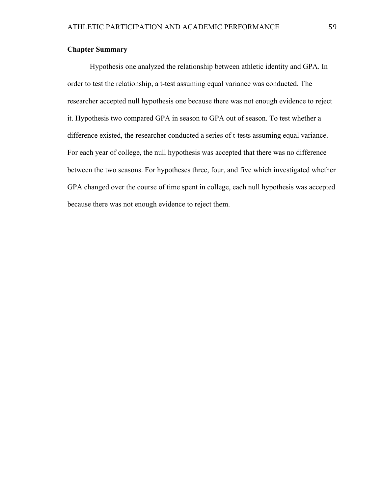#### **Chapter Summary**

Hypothesis one analyzed the relationship between athletic identity and GPA. In order to test the relationship, a t-test assuming equal variance was conducted. The researcher accepted null hypothesis one because there was not enough evidence to reject it. Hypothesis two compared GPA in season to GPA out of season. To test whether a difference existed, the researcher conducted a series of t-tests assuming equal variance. For each year of college, the null hypothesis was accepted that there was no difference between the two seasons. For hypotheses three, four, and five which investigated whether GPA changed over the course of time spent in college, each null hypothesis was accepted because there was not enough evidence to reject them.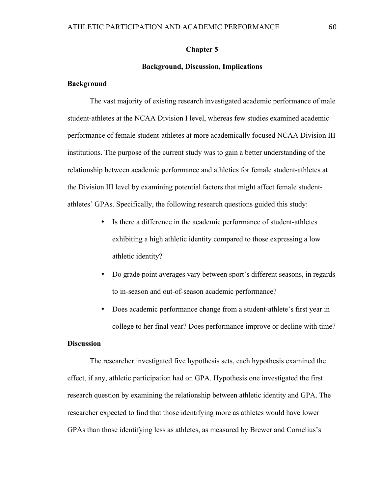#### **Chapter 5**

#### **Background, Discussion, Implications**

#### **Background**

The vast majority of existing research investigated academic performance of male student-athletes at the NCAA Division I level, whereas few studies examined academic performance of female student-athletes at more academically focused NCAA Division III institutions. The purpose of the current study was to gain a better understanding of the relationship between academic performance and athletics for female student-athletes at the Division III level by examining potential factors that might affect female studentathletes' GPAs. Specifically, the following research questions guided this study:

- Is there a difference in the academic performance of student-athletes exhibiting a high athletic identity compared to those expressing a low athletic identity?
- Do grade point averages vary between sport's different seasons, in regards to in-season and out-of-season academic performance?
- Does academic performance change from a student-athlete's first year in college to her final year? Does performance improve or decline with time?

#### **Discussion**

The researcher investigated five hypothesis sets, each hypothesis examined the effect, if any, athletic participation had on GPA. Hypothesis one investigated the first research question by examining the relationship between athletic identity and GPA. The researcher expected to find that those identifying more as athletes would have lower GPAs than those identifying less as athletes, as measured by Brewer and Cornelius's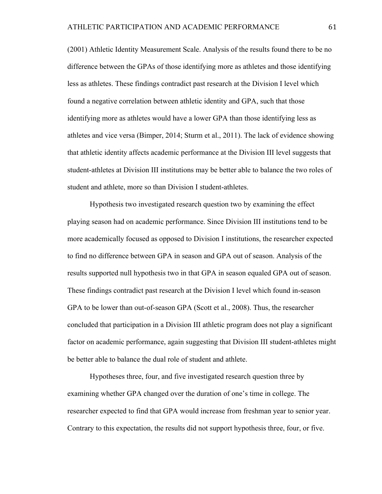(2001) Athletic Identity Measurement Scale. Analysis of the results found there to be no difference between the GPAs of those identifying more as athletes and those identifying less as athletes. These findings contradict past research at the Division I level which found a negative correlation between athletic identity and GPA, such that those identifying more as athletes would have a lower GPA than those identifying less as athletes and vice versa (Bimper, 2014; Sturm et al., 2011). The lack of evidence showing that athletic identity affects academic performance at the Division III level suggests that student-athletes at Division III institutions may be better able to balance the two roles of student and athlete, more so than Division I student-athletes.

Hypothesis two investigated research question two by examining the effect playing season had on academic performance. Since Division III institutions tend to be more academically focused as opposed to Division I institutions, the researcher expected to find no difference between GPA in season and GPA out of season. Analysis of the results supported null hypothesis two in that GPA in season equaled GPA out of season. These findings contradict past research at the Division I level which found in-season GPA to be lower than out-of-season GPA (Scott et al., 2008). Thus, the researcher concluded that participation in a Division III athletic program does not play a significant factor on academic performance, again suggesting that Division III student-athletes might be better able to balance the dual role of student and athlete.

Hypotheses three, four, and five investigated research question three by examining whether GPA changed over the duration of one's time in college. The researcher expected to find that GPA would increase from freshman year to senior year. Contrary to this expectation, the results did not support hypothesis three, four, or five.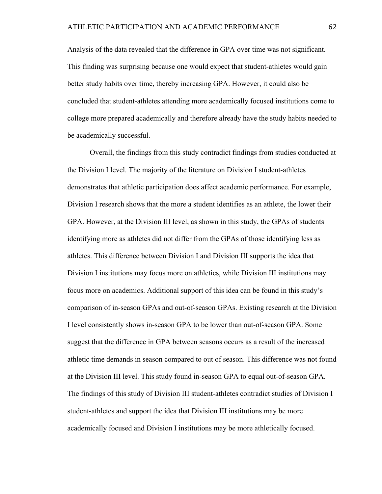Analysis of the data revealed that the difference in GPA over time was not significant. This finding was surprising because one would expect that student-athletes would gain better study habits over time, thereby increasing GPA. However, it could also be concluded that student-athletes attending more academically focused institutions come to college more prepared academically and therefore already have the study habits needed to be academically successful.

Overall, the findings from this study contradict findings from studies conducted at the Division I level. The majority of the literature on Division I student-athletes demonstrates that athletic participation does affect academic performance. For example, Division I research shows that the more a student identifies as an athlete, the lower their GPA. However, at the Division III level, as shown in this study, the GPAs of students identifying more as athletes did not differ from the GPAs of those identifying less as athletes. This difference between Division I and Division III supports the idea that Division I institutions may focus more on athletics, while Division III institutions may focus more on academics. Additional support of this idea can be found in this study's comparison of in-season GPAs and out-of-season GPAs. Existing research at the Division I level consistently shows in-season GPA to be lower than out-of-season GPA. Some suggest that the difference in GPA between seasons occurs as a result of the increased athletic time demands in season compared to out of season. This difference was not found at the Division III level. This study found in-season GPA to equal out-of-season GPA. The findings of this study of Division III student-athletes contradict studies of Division I student-athletes and support the idea that Division III institutions may be more academically focused and Division I institutions may be more athletically focused.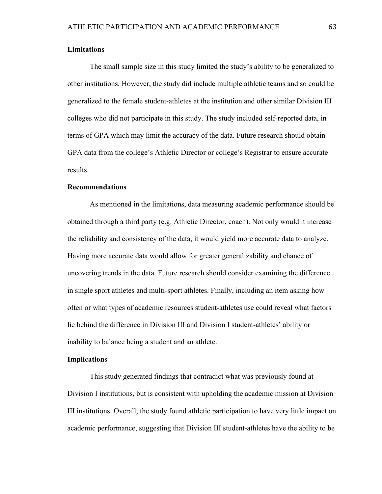#### **Limitations**

The small sample size in this study limited the study's ability to be generalized to other institutions. However, the study did include multiple athletic teams and so could be generalized to the female student-athletes at the institution and other similar Division III colleges who did not participate in this study. The study included self-reported data, in terms of GPA which may limit the accuracy of the data. Future research should obtain GPA data from the college's Athletic Director or college's Registrar to ensure accurate results.

#### **Recommendations**

As mentioned in the limitations, data measuring academic performance should be obtained through a third party (e.g. Athletic Director, coach). Not only would it increase the reliability and consistency of the data, it would yield more accurate data to analyze. Having more accurate data would allow for greater generalizability and chance of uncovering trends in the data. Future research should consider examining the difference in single sport athletes and multi-sport athletes. Finally, including an item asking how often or what types of academic resources student-athletes use could reveal what factors lie behind the difference in Division III and Division I student-athletes' ability or inability to balance being a student and an athlete.

#### **Implications**

This study generated findings that contradict what was previously found at Division I institutions, but is consistent with upholding the academic mission at Division III institutions. Overall, the study found athletic participation to have very little impact on academic performance, suggesting that Division III student-athletes have the ability to be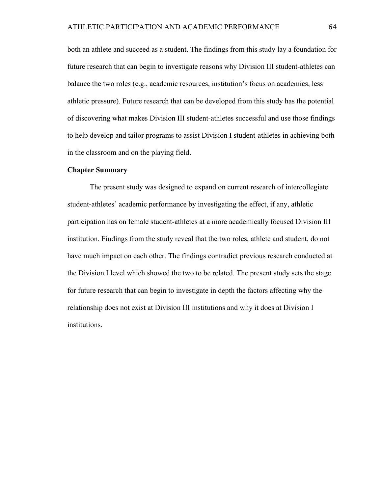both an athlete and succeed as a student. The findings from this study lay a foundation for future research that can begin to investigate reasons why Division III student-athletes can balance the two roles (e.g., academic resources, institution's focus on academics, less athletic pressure). Future research that can be developed from this study has the potential of discovering what makes Division III student-athletes successful and use those findings to help develop and tailor programs to assist Division I student-athletes in achieving both in the classroom and on the playing field.

#### **Chapter Summary**

The present study was designed to expand on current research of intercollegiate student-athletes' academic performance by investigating the effect, if any, athletic participation has on female student-athletes at a more academically focused Division III institution. Findings from the study reveal that the two roles, athlete and student, do not have much impact on each other. The findings contradict previous research conducted at the Division I level which showed the two to be related. The present study sets the stage for future research that can begin to investigate in depth the factors affecting why the relationship does not exist at Division III institutions and why it does at Division I institutions.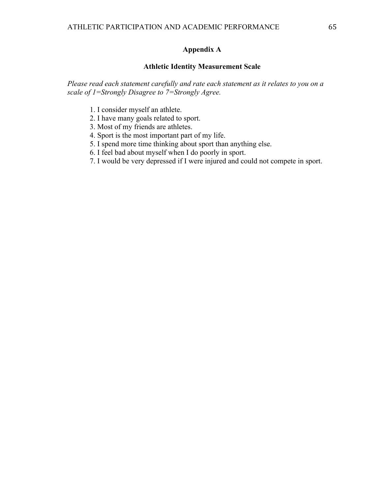### **Appendix A**

## **Athletic Identity Measurement Scale**

*Please read each statement carefully and rate each statement as it relates to you on a scale of 1=Strongly Disagree to 7=Strongly Agree.*

- 1. I consider myself an athlete.
- 2. I have many goals related to sport.
- 3. Most of my friends are athletes.
- 4. Sport is the most important part of my life.
- 5. I spend more time thinking about sport than anything else.
- 6. I feel bad about myself when I do poorly in sport.
- 7. I would be very depressed if I were injured and could not compete in sport.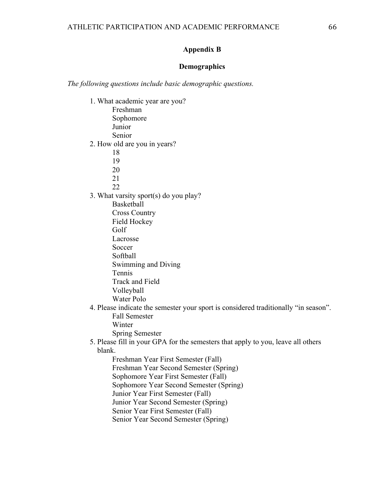#### **Appendix B**

#### **Demographics**

*The following questions include basic demographic questions.*

- 1. What academic year are you? Freshman Sophomore Junior Senior 2. How old are you in years? 18 19 20 21 22 3. What varsity sport(s) do you play? Basketball Cross Country Field Hockey Golf Lacrosse Soccer Softball Swimming and Diving Tennis Track and Field Volleyball Water Polo
- 4. Please indicate the semester your sport is considered traditionally "in season". Fall Semester Winter Spring Semester
- 5. Please fill in your GPA for the semesters that apply to you, leave all others blank.
	- Freshman Year First Semester (Fall) Freshman Year Second Semester (Spring) Sophomore Year First Semester (Fall) Sophomore Year Second Semester (Spring) Junior Year First Semester (Fall) Junior Year Second Semester (Spring) Senior Year First Semester (Fall) Senior Year Second Semester (Spring)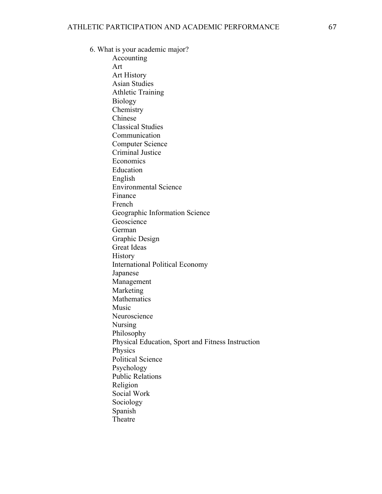6. What is your academic major?

Accounting Art Art History Asian Studies Athletic Training Biology **Chemistry** Chinese Classical Studies Communication Computer Science Criminal Justice Economics Education English Environmental Science Finance French Geographic Information Science Geoscience German Graphic Design Great Ideas **History** International Political Economy Japanese Management Marketing Mathematics Music Neuroscience Nursing Philosophy Physical Education, Sport and Fitness Instruction Physics Political Science Psychology Public Relations Religion Social Work Sociology Spanish Theatre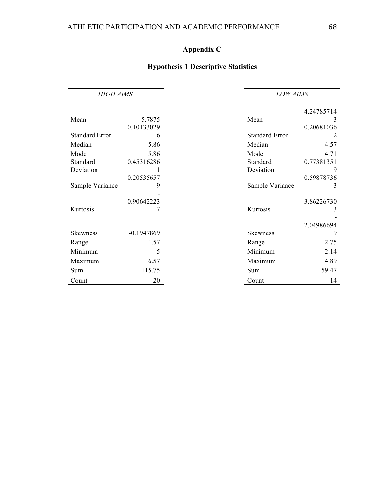# **Appendix C**

# **Hypothesis 1 Descriptive Statistics**

| <b>HIGH AIMS</b>      |              |                       | <b>LOW AIMS</b> |  |
|-----------------------|--------------|-----------------------|-----------------|--|
|                       |              |                       | 4.24785714      |  |
|                       |              |                       |                 |  |
| Mean                  | 5.7875       | Mean                  | 3               |  |
|                       | 0.10133029   |                       | 0.20681036      |  |
| <b>Standard Error</b> | 6            | <b>Standard Error</b> |                 |  |
| Median                | 5.86         | Median                | 4.57            |  |
| Mode                  | 5.86         | Mode                  | 4.71            |  |
| Standard              | 0.45316286   | Standard              | 0.77381351      |  |
| Deviation             |              | Deviation             | 9               |  |
|                       | 0.20535657   |                       | 0.59878736      |  |
| Sample Variance       | 9            | Sample Variance       | 3               |  |
|                       |              |                       |                 |  |
|                       | 0.90642223   |                       | 3.86226730      |  |
| Kurtosis              |              | Kurtosis              | 3               |  |
|                       |              |                       |                 |  |
|                       |              |                       | 2.04986694      |  |
| <b>Skewness</b>       | $-0.1947869$ | Skewness              | 9               |  |
| Range                 | 1.57         | Range                 | 2.75            |  |
| Minimum               | 5            | Minimum               | 2.14            |  |
| Maximum               | 6.57         | Maximum               | 4.89            |  |
| Sum                   | 115.75       | <b>Sum</b>            | 59.47           |  |
| Count                 | 20           | Count                 | 14              |  |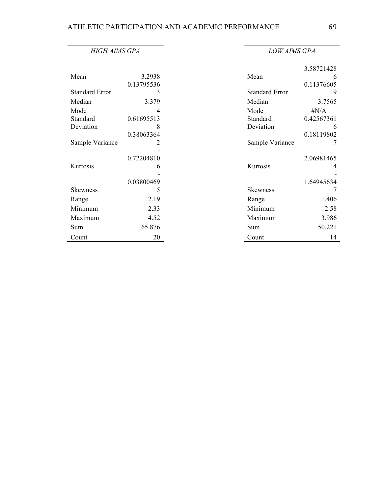| <b>HIGH AIMS GPA</b>  |            | <b>LOW AIMS GPA</b>   |            |
|-----------------------|------------|-----------------------|------------|
|                       |            |                       |            |
|                       |            |                       | 3.58721428 |
| Mean                  | 3.2938     | Mean                  | 6          |
|                       | 0.13795536 |                       | 0.11376605 |
| <b>Standard Error</b> | 3          | <b>Standard Error</b> | 9          |
| Median                | 3.379      | Median                | 3.7565     |
| Mode                  | 4          | Mode                  | # $N/A$    |
| Standard              | 0.61695513 | Standard              | 0.42567361 |
| Deviation             | 8          | Deviation             | 6          |
|                       | 0.38063364 |                       | 0.18119802 |
| Sample Variance       | 2          | Sample Variance       | 7          |
|                       |            |                       |            |
|                       | 0.72204810 |                       | 2.06981465 |
| Kurtosis              | 6          | Kurtosis              | 4          |
|                       |            |                       |            |
|                       | 0.03800469 |                       | 1.64945634 |
| Skewness              | 5          | <b>Skewness</b>       | 7          |
| Range                 | 2.19       | Range                 | 1.406      |
| Minimum               | 2.33       | Minimum               | 2.58       |
| Maximum               | 4.52       | Maximum               | 3.986      |
| Sum                   | 65.876     | Sum                   | 50.221     |
| Count                 | 20         | Count                 | 14         |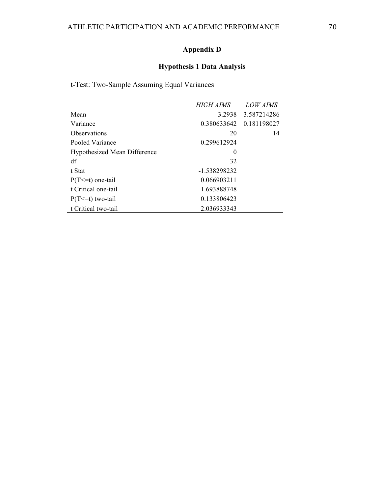# **Appendix D**

# **Hypothesis 1 Data Analysis**

t-Test: Two-Sample Assuming Equal Variances

|                                     | <b>HIGH AIMS</b> | <i>LOW AIMS</i> |
|-------------------------------------|------------------|-----------------|
| Mean                                | 3.2938           | 3.587214286     |
| Variance                            | 0.380633642      | 0.181198027     |
| Observations                        | 20               | 14              |
| Pooled Variance                     | 0.299612924      |                 |
| <b>Hypothesized Mean Difference</b> | $\theta$         |                 |
| df                                  | 32               |                 |
| t Stat                              | -1.538298232     |                 |
| $P(T \le t)$ one-tail               | 0.066903211      |                 |
| t Critical one-tail                 | 1.693888748      |                 |
| $P(T \le t)$ two-tail               | 0.133806423      |                 |
| t Critical two-tail                 | 2.036933343      |                 |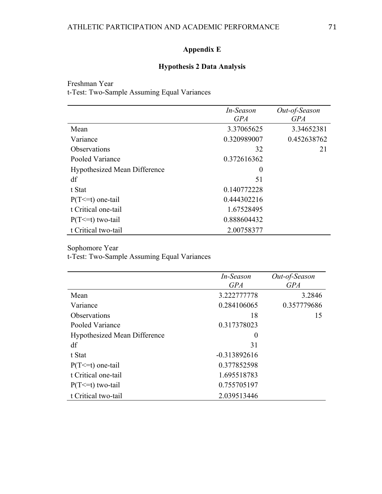# **Appendix E**

# **Hypothesis 2 Data Analysis**

Freshman Year t-Test: Two-Sample Assuming Equal Variances

|                                     | In-Season   | Out-of-Season |
|-------------------------------------|-------------|---------------|
|                                     | <b>GPA</b>  | <b>GPA</b>    |
| Mean                                | 3.37065625  | 3.34652381    |
| Variance                            | 0.320989007 | 0.452638762   |
| <b>Observations</b>                 | 32          | 21            |
| Pooled Variance                     | 0.372616362 |               |
| <b>Hypothesized Mean Difference</b> | $\theta$    |               |
| df                                  | 51          |               |
| t Stat                              | 0.140772228 |               |
| $P(T \le t)$ one-tail               | 0.444302216 |               |
| t Critical one-tail                 | 1.67528495  |               |
| $P(T \le t)$ two-tail               | 0.888604432 |               |
| t Critical two-tail                 | 2.00758377  |               |

## Sophomore Year

t-Test: Two-Sample Assuming Equal Variances

|                                     | In-Season      | Out-of-Season |
|-------------------------------------|----------------|---------------|
|                                     | <b>GPA</b>     | <b>GPA</b>    |
| Mean                                | 3.222777778    | 3.2846        |
| Variance                            | 0.284106065    | 0.357779686   |
| <b>Observations</b>                 | 18             | 15            |
| Pooled Variance                     | 0.317378023    |               |
| <b>Hypothesized Mean Difference</b> | $\theta$       |               |
| df                                  | 31             |               |
| t Stat                              | $-0.313892616$ |               |
| $P(T \le t)$ one-tail               | 0.377852598    |               |
| t Critical one-tail                 | 1.695518783    |               |
| $P(T \le t)$ two-tail               | 0.755705197    |               |
| t Critical two-tail                 | 2.039513446    |               |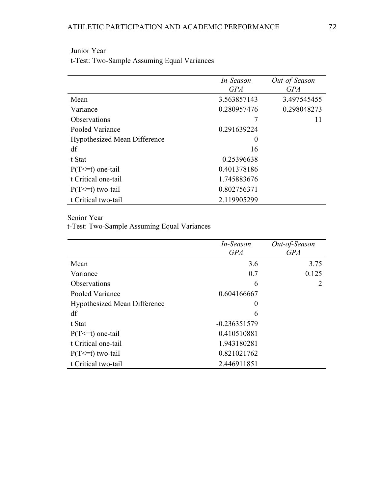|                                     | In-Season   | Out-of-Season |
|-------------------------------------|-------------|---------------|
|                                     | <b>GPA</b>  | <b>GPA</b>    |
| Mean                                | 3.563857143 | 3.497545455   |
| Variance                            | 0.280957476 | 0.298048273   |
| <b>Observations</b>                 |             | 11            |
| Pooled Variance                     | 0.291639224 |               |
| <b>Hypothesized Mean Difference</b> | $\theta$    |               |
| df                                  | 16          |               |
| t Stat                              | 0.25396638  |               |
| $P(T \le t)$ one-tail               | 0.401378186 |               |
| t Critical one-tail                 | 1.745883676 |               |
| $P(T \le t)$ two-tail               | 0.802756371 |               |
| t Critical two-tail                 | 2.119905299 |               |

# Junior Year

t-Test: Two-Sample Assuming Equal Variances

Senior Year

t-Test: Two-Sample Assuming Equal Variances

|                                     | In-Season<br><b>GPA</b> | Out-of-Season<br><b>GPA</b> |
|-------------------------------------|-------------------------|-----------------------------|
| Mean                                | 3.6                     | 3.75                        |
| Variance                            | 0.7                     | 0.125                       |
| Observations                        | 6                       | 2                           |
| Pooled Variance                     | 0.604166667             |                             |
| <b>Hypothesized Mean Difference</b> | $\boldsymbol{0}$        |                             |
| df                                  | 6                       |                             |
| t Stat                              | $-0.236351579$          |                             |
| $P(T \le t)$ one-tail               | 0.410510881             |                             |
| t Critical one-tail                 | 1.943180281             |                             |
| $P(T \le t)$ two-tail               | 0.821021762             |                             |
| t Critical two-tail                 | 2.446911851             |                             |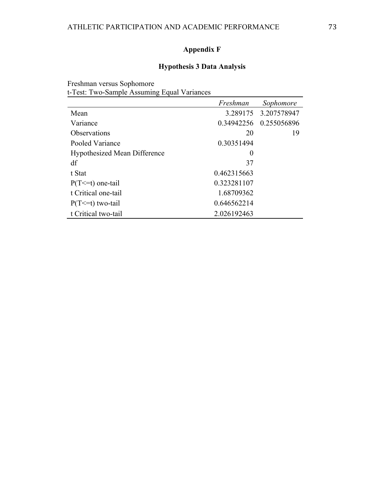# **Appendix F**

# **Hypothesis 3 Data Analysis**

Freshman versus Sophomore t-Test: Two-Sample Assuming Equal Variances

|                                     | Freshman    | Sophomore   |
|-------------------------------------|-------------|-------------|
| Mean                                | 3.289175    | 3.207578947 |
| Variance                            | 0.34942256  | 0.255056896 |
| <b>Observations</b>                 | 20          | 19          |
| Pooled Variance                     | 0.30351494  |             |
| <b>Hypothesized Mean Difference</b> | $\theta$    |             |
| df                                  | 37          |             |
| t Stat                              | 0.462315663 |             |
| $P(T \le t)$ one-tail               | 0.323281107 |             |
| t Critical one-tail                 | 1.68709362  |             |
| $P(T \le t)$ two-tail               | 0.646562214 |             |
| t Critical two-tail                 | 2.026192463 |             |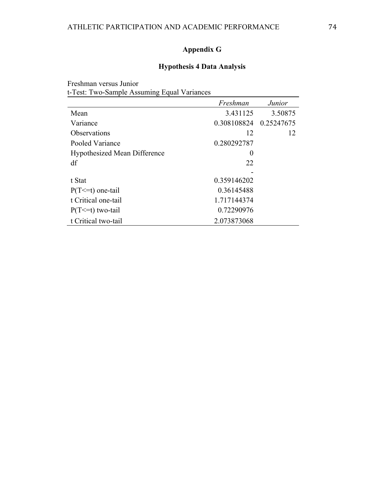# **Appendix G**

# **Hypothesis 4 Data Analysis**

Freshman versus Junior t-Test: Two-Sample Assuming Equal Variances

|                                     | Freshman    | <i>Junior</i> |
|-------------------------------------|-------------|---------------|
| Mean                                | 3.431125    | 3.50875       |
| Variance                            | 0.308108824 | 0.25247675    |
| <i><b>Observations</b></i>          | 12          | 12            |
| Pooled Variance                     | 0.280292787 |               |
| <b>Hypothesized Mean Difference</b> | $\theta$    |               |
| df                                  | 22          |               |
|                                     |             |               |
| t Stat                              | 0.359146202 |               |
| $P(T \le t)$ one-tail               | 0.36145488  |               |
| t Critical one-tail                 | 1.717144374 |               |
| $P(T \le t)$ two-tail               | 0.72290976  |               |
| t Critical two-tail                 | 2.073873068 |               |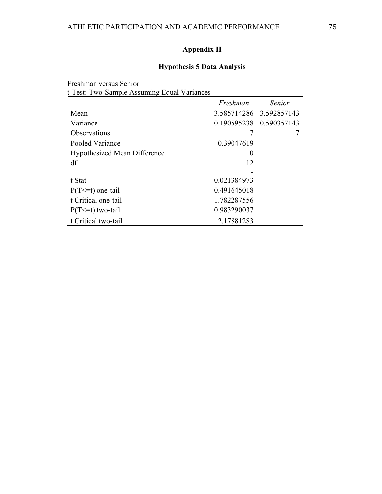# **Appendix H**

# **Hypothesis 5 Data Analysis**

Freshman versus Senior t-Test: Two-Sample Assuming Equal Variances

|                                     | Freshman    | <b>Senior</b>            |
|-------------------------------------|-------------|--------------------------|
| Mean                                |             | 3.585714286 3.592857143  |
| Variance                            |             | 0.190595238  0.590357143 |
| <i><b>Observations</b></i>          |             |                          |
| Pooled Variance                     | 0.39047619  |                          |
| <b>Hypothesized Mean Difference</b> | $\theta$    |                          |
| df                                  | 12          |                          |
|                                     |             |                          |
| t Stat                              | 0.021384973 |                          |
| $P(T \le t)$ one-tail               | 0.491645018 |                          |
| t Critical one-tail                 | 1.782287556 |                          |
| $P(T \le t)$ two-tail               | 0.983290037 |                          |
| t Critical two-tail                 | 2.17881283  |                          |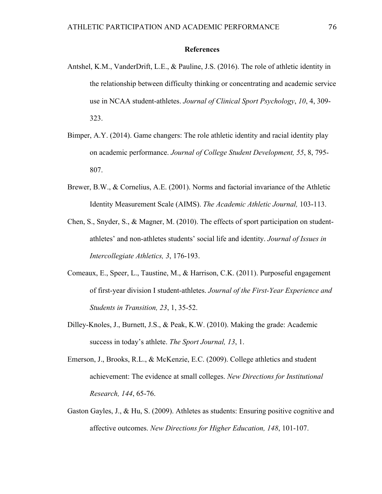## **References**

- Antshel, K.M., VanderDrift, L.E., & Pauline, J.S. (2016). The role of athletic identity in the relationship between difficulty thinking or concentrating and academic service use in NCAA student-athletes. *Journal of Clinical Sport Psychology*, *10*, 4, 309- 323.
- Bimper, A.Y. (2014). Game changers: The role athletic identity and racial identity play on academic performance. *Journal of College Student Development, 55*, 8, 795- 807.
- Brewer, B.W., & Cornelius, A.E. (2001). Norms and factorial invariance of the Athletic Identity Measurement Scale (AIMS). *The Academic Athletic Journal,* 103-113.
- Chen, S., Snyder, S., & Magner, M. (2010). The effects of sport participation on studentathletes' and non-athletes students' social life and identity. *Journal of Issues in Intercollegiate Athletics, 3*, 176-193.
- Comeaux, E., Speer, L., Taustine, M., & Harrison, C.K. (2011). Purposeful engagement of first-year division I student-athletes. *Journal of the First-Year Experience and Students in Transition, 23*, 1, 35-52.
- Dilley-Knoles, J., Burnett, J.S., & Peak, K.W. (2010). Making the grade: Academic success in today's athlete. *The Sport Journal, 13*, 1.
- Emerson, J., Brooks, R.L., & McKenzie, E.C. (2009). College athletics and student achievement: The evidence at small colleges. *New Directions for Institutional Research, 144*, 65-76.
- Gaston Gayles, J., & Hu, S. (2009). Athletes as students: Ensuring positive cognitive and affective outcomes. *New Directions for Higher Education, 148*, 101-107.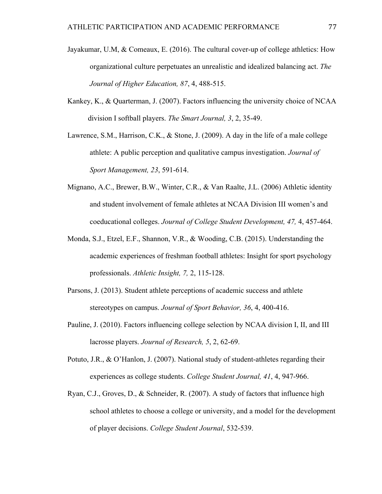- Jayakumar, U.M, & Comeaux, E. (2016). The cultural cover-up of college athletics: How organizational culture perpetuates an unrealistic and idealized balancing act. *The Journal of Higher Education, 87*, 4, 488-515.
- Kankey, K., & Quarterman, J. (2007). Factors influencing the university choice of NCAA division I softball players. *The Smart Journal, 3*, 2, 35-49.
- Lawrence, S.M., Harrison, C.K.,  $\&$  Stone, J. (2009). A day in the life of a male college athlete: A public perception and qualitative campus investigation. *Journal of Sport Management, 23*, 591-614.
- Mignano, A.C., Brewer, B.W., Winter, C.R., & Van Raalte, J.L. (2006) Athletic identity and student involvement of female athletes at NCAA Division III women's and coeducational colleges. *Journal of College Student Development, 47,* 4, 457-464.
- Monda, S.J., Etzel, E.F., Shannon, V.R., & Wooding, C.B. (2015). Understanding the academic experiences of freshman football athletes: Insight for sport psychology professionals. *Athletic Insight, 7,* 2, 115-128.
- Parsons, J. (2013). Student athlete perceptions of academic success and athlete stereotypes on campus. *Journal of Sport Behavior, 36*, 4, 400-416.
- Pauline, J. (2010). Factors influencing college selection by NCAA division I, II, and III lacrosse players. *Journal of Research, 5*, 2, 62-69.
- Potuto, J.R., & O'Hanlon, J. (2007). National study of student-athletes regarding their experiences as college students. *College Student Journal, 41*, 4, 947-966.
- Ryan, C.J., Groves, D., & Schneider, R. (2007). A study of factors that influence high school athletes to choose a college or university, and a model for the development of player decisions. *College Student Journal*, 532-539.